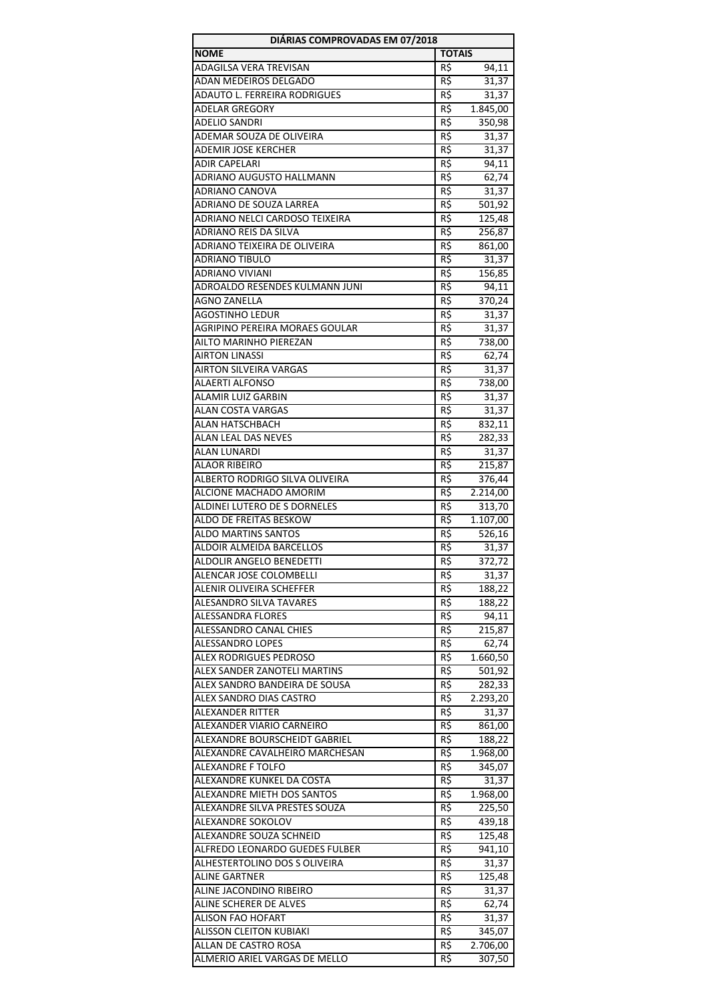| DIÁRIAS COMPROVADAS EM 07/2018 |               |          |
|--------------------------------|---------------|----------|
| <b>NOME</b>                    | <b>TOTAIS</b> |          |
| <b>ADAGILSA VERA TREVISAN</b>  | R\$           | 94,11    |
| ADAN MEDEIROS DELGADO          | R\$           | 31,37    |
| ADAUTO L. FERREIRA RODRIGUES   | R\$           | 31,37    |
| <b>ADELAR GREGORY</b>          | R\$           | 1.845,00 |
| <b>ADELIO SANDRI</b>           | R\$           | 350,98   |
| ADEMAR SOUZA DE OLIVEIRA       | R\$           | 31,37    |
| ADEMIR JOSE KERCHER            | R\$           | 31,37    |
| <b>ADIR CAPELARI</b>           | R\$           | 94,11    |
| ADRIANO AUGUSTO HALLMANN       | R\$           | 62,74    |
| ADRIANO CANOVA                 | R\$           | 31,37    |
| ADRIANO DE SOUZA LARREA        | R\$           | 501,92   |
| ADRIANO NELCI CARDOSO TEIXEIRA | R\$           | 125,48   |
| ADRIANO REIS DA SILVA          | R\$           | 256,87   |
| ADRIANO TEIXEIRA DE OLIVEIRA   | R\$           | 861,00   |
| <b>ADRIANO TIBULO</b>          | R\$           | 31,37    |
| <b>ADRIANO VIVIANI</b>         | R\$           | 156,85   |
| ADROALDO RESENDES KULMANN JUNI | R\$           | 94,11    |
| <b>AGNO ZANELLA</b>            | R\$           | 370,24   |
| <b>AGOSTINHO LEDUR</b>         | R\$           | 31,37    |
| AGRIPINO PEREIRA MORAES GOULAR | R\$           | 31,37    |
| AILTO MARINHO PIEREZAN         | R\$           | 738,00   |
| AIRTON LINASSI                 | R\$           | 62,74    |
| AIRTON SILVEIRA VARGAS         | R\$           | 31,37    |
| <b>ALAERTI ALFONSO</b>         | R\$           | 738,00   |
| ALAMIR LUIZ GARBIN             | R\$           |          |
|                                | R\$           | 31,37    |
| ALAN COSTA VARGAS              |               | 31,37    |
| ALAN HATSCHBACH                | R\$           | 832,11   |
| ALAN LEAL DAS NEVES            | R\$           | 282,33   |
| ALAN LUNARDI                   | R\$           | 31,37    |
| <b>ALAOR RIBEIRO</b>           | R\$           | 215,87   |
| ALBERTO RODRIGO SILVA OLIVEIRA | R\$           | 376,44   |
| ALCIONE MACHADO AMORIM         | R\$           | 2.214,00 |
| ALDINEI LUTERO DE S DORNELES   | R\$           | 313,70   |
| ALDO DE FREITAS BESKOW         | R\$           | 1.107,00 |
| <b>ALDO MARTINS SANTOS</b>     | R\$           | 526,16   |
| ALDOIR ALMEIDA BARCELLOS       | R\$           | 31,37    |
| ALDOLIR ANGELO BENEDETTI       | R\$           | 372,72   |
| ALENCAR JOSE COLOMBELLI        | R\$           | 31,37    |
| ALENIR OLIVEIRA SCHEFFER       | R\$           | 188,22   |
| <b>ALESANDRO SILVA TAVARES</b> | R\$           | 188,22   |
| ALESSANDRA FLORES              | R\$           | 94,11    |
| ALESSANDRO CANAL CHIES         | R\$           | 215,87   |
| ALESSANDRO LOPES               | R\$           | 62,74    |
| <b>ALEX RODRIGUES PEDROSO</b>  | R\$           | 1.660,50 |
| ALEX SANDER ZANOTELI MARTINS   | R\$           | 501,92   |
| ALEX SANDRO BANDEIRA DE SOUSA  | R\$           | 282,33   |
| ALEX SANDRO DIAS CASTRO        | R\$           | 2.293,20 |
| ALEXANDER RITTER               | R\$           | 31,37    |
| ALEXANDER VIARIO CARNEIRO      | R\$           | 861,00   |
| ALEXANDRE BOURSCHEIDT GABRIEL  | R\$           | 188,22   |
| ALEXANDRE CAVALHEIRO MARCHESAN | R\$           | 1.968,00 |
| ALEXANDRE F TOLFO              | R\$           | 345,07   |
| ALEXANDRE KUNKEL DA COSTA      | R\$           | 31,37    |
| ALEXANDRE MIETH DOS SANTOS     | R\$           | 1.968,00 |
| ALEXANDRE SILVA PRESTES SOUZA  | R\$           | 225,50   |
| ALEXANDRE SOKOLOV              | R\$           | 439,18   |
| ALEXANDRE SOUZA SCHNEID        | R\$           | 125,48   |
| ALFREDO LEONARDO GUEDES FULBER | R\$           | 941,10   |
| ALHESTERTOLINO DOS S OLIVEIRA  | R\$           | 31,37    |
| ALINE GARTNER                  | R\$           | 125,48   |
| ALINE JACONDINO RIBEIRO        | R\$           | 31,37    |
| ALINE SCHERER DE ALVES         | R\$           | 62,74    |
| ALISON FAO HOFART              | R\$           | 31,37    |
| <b>ALISSON CLEITON KUBIAKI</b> | R\$           | 345,07   |
| ALLAN DE CASTRO ROSA           | R\$           | 2.706,00 |
| ALMERIO ARIEL VARGAS DE MELLO  | R\$           | 307,50   |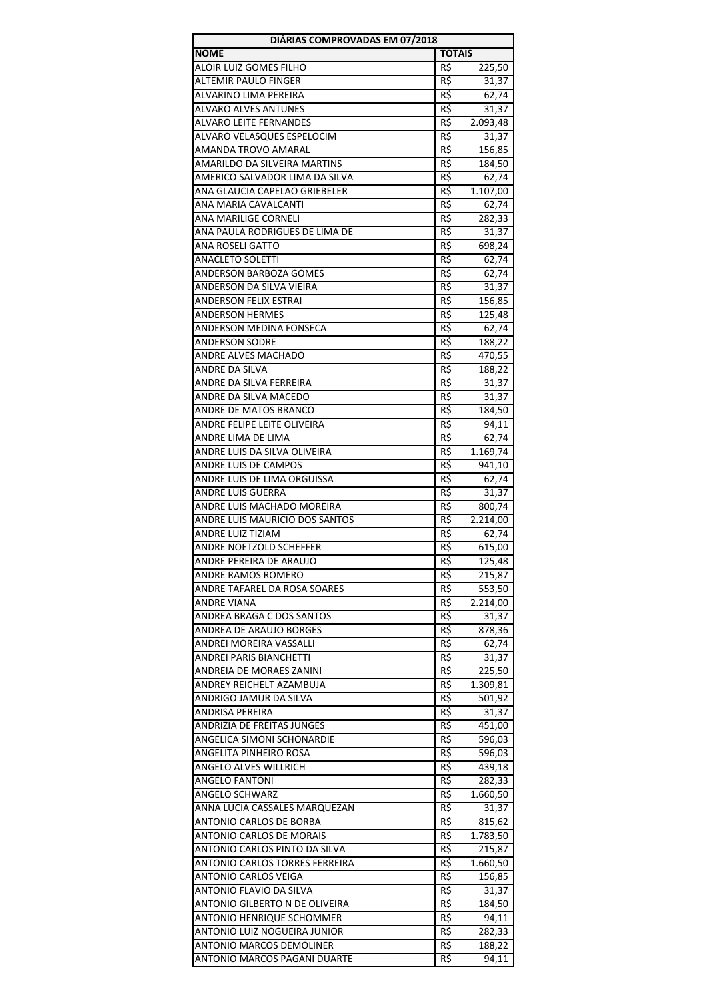| DIÁRIAS COMPROVADAS EM 07/2018                         |               |                 |
|--------------------------------------------------------|---------------|-----------------|
| <b>NOME</b>                                            | <b>TOTAIS</b> |                 |
| ALOIR LUIZ GOMES FILHO                                 | R\$           | 225,50          |
| <b>ALTEMIR PAULO FINGER</b>                            | R\$           | 31,37           |
| ALVARINO LIMA PEREIRA                                  | R\$           | 62,74           |
| <b>ALVARO ALVES ANTUNES</b>                            | R\$           | 31,37           |
| ALVARO LEITE FERNANDES                                 | R\$           | 2.093,48        |
| ALVARO VELASQUES ESPELOCIM                             | R\$           | 31,37           |
| AMANDA TROVO AMARAL                                    | R\$           | 156,85          |
| AMARILDO DA SILVEIRA MARTINS                           | R\$           | 184,50          |
| AMERICO SALVADOR LIMA DA SILVA                         | R\$           | 62,74           |
| ANA GLAUCIA CAPELAO GRIEBELER                          | R\$           | 1.107,00        |
| ANA MARIA CAVALCANTI                                   | R\$           | 62,74           |
| ANA MARILIGE CORNELI<br>ANA PAULA RODRIGUES DE LIMA DE | R\$<br>R\$    | 282,33          |
| ANA ROSELI GATTO                                       | R\$           | 31,37<br>698,24 |
| ANACLETO SOLETTI                                       | R\$           | 62,74           |
| ANDERSON BARBOZA GOMES                                 | R\$           | 62,74           |
| ANDERSON DA SILVA VIEIRA                               | R\$           | 31,37           |
| <b>ANDERSON FELIX ESTRAI</b>                           | R\$           | 156,85          |
| <b>ANDERSON HERMES</b>                                 | R\$           | 125,48          |
| ANDERSON MEDINA FONSECA                                | R\$           | 62,74           |
| <b>ANDERSON SODRE</b>                                  | R\$           | 188,22          |
| <b>ANDRE ALVES MACHADO</b>                             | R\$           | 470,55          |
| ANDRE DA SILVA                                         | R\$           | 188,22          |
| ANDRE DA SILVA FERREIRA                                | R\$           | 31,37           |
| ANDRE DA SILVA MACEDO                                  | R\$           | 31,37           |
| ANDRE DE MATOS BRANCO                                  | R\$           | 184,50          |
| ANDRE FELIPE LEITE OLIVEIRA                            | R\$           | 94,11           |
| ANDRE LIMA DE LIMA                                     | R\$           | 62,74           |
| ANDRE LUIS DA SILVA OLIVEIRA                           | R\$           | 1.169,74        |
| ANDRE LUIS DE CAMPOS                                   | R\$           | 941,10          |
| ANDRE LUIS DE LIMA ORGUISSA                            | $R\zeta$      | 62,74           |
| <b>ANDRE LUIS GUERRA</b>                               | R\$           | 31,37           |
| ANDRE LUIS MACHADO MOREIRA                             | R\$           | 800,74          |
| ANDRE LUIS MAURICIO DOS SANTOS                         | R\$           | 2.214,00        |
| <b>ANDRE LUIZ TIZIAM</b>                               | R\$           | 62,74           |
| ANDRE NOETZOLD SCHEFFER                                | R\$           | 615,00          |
| ANDRE PEREIRA DE ARAUJO                                | R\$           | 125,48          |
| ANDRE RAMOS ROMERO                                     | R\$           | 215,87          |
| ANDRE TAFAREL DA ROSA SOARES                           | R\$           | 553,50          |
| ANDRE VIANA<br>ANDREA BRAGA C DOS SANTOS               | R\$<br>R\$    | 2.214,00        |
| ANDREA DE ARAUJO BORGES                                | R\$           | 31,37<br>878,36 |
| ANDREI MOREIRA VASSALLI                                | R\$           | 62,74           |
| ANDREI PARIS BIANCHETTI                                | R\$           | 31,37           |
| ANDREIA DE MORAES ZANINI                               | R\$           | 225,50          |
| ANDREY REICHELT AZAMBUJA                               | R\$           | 1.309,81        |
| ANDRIGO JAMUR DA SILVA                                 | R\$           | 501,92          |
| ANDRISA PEREIRA                                        | R\$           | 31,37           |
| ANDRIZIA DE FREITAS JUNGES                             | R\$           | 451,00          |
| ANGELICA SIMONI SCHONARDIE                             | R\$           | 596,03          |
| ANGELITA PINHEIRO ROSA                                 | R\$           | 596,03          |
| ANGELO ALVES WILLRICH                                  | R\$           | 439,18          |
| ANGELO FANTONI                                         | R\$           | 282,33          |
| ANGELO SCHWARZ                                         | R\$           | 1.660,50        |
| ANNA LUCIA CASSALES MARQUEZAN                          | R\$           | 31,37           |
| ANTONIO CARLOS DE BORBA                                | R\$           | 815,62          |
| <b>ANTONIO CARLOS DE MORAIS</b>                        | R\$           | 1.783,50        |
| ANTONIO CARLOS PINTO DA SILVA                          | R\$           | 215,87          |
| ANTONIO CARLOS TORRES FERREIRA                         | R\$           | 1.660,50        |
| ANTONIO CARLOS VEIGA                                   | R\$           | 156,85          |
| ANTONIO FLAVIO DA SILVA                                | R\$           | 31,37           |
| ANTONIO GILBERTO N DE OLIVEIRA                         | R\$           | 184,50          |
| ANTONIO HENRIQUE SCHOMMER                              | R\$           | 94,11           |
| ANTONIO LUIZ NOGUEIRA JUNIOR                           | R\$           | 282,33          |
| ANTONIO MARCOS DEMOLINER                               | R\$           | 188,22          |
| ANTONIO MARCOS PAGANI DUARTE                           | R\$           | 94,11           |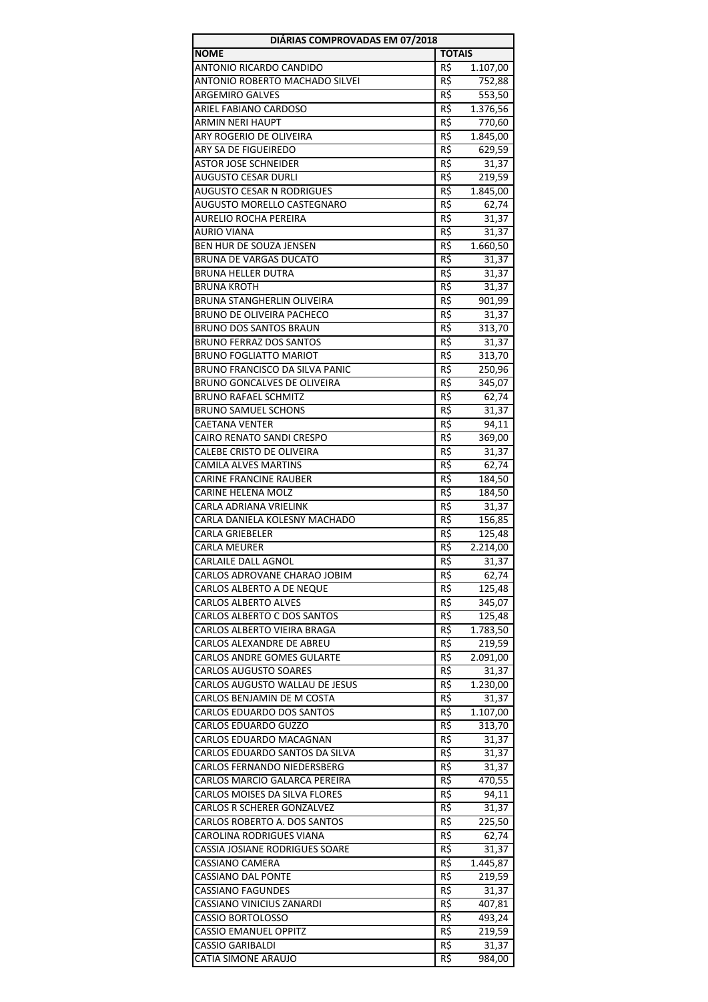| DIÁRIAS COMPROVADAS EM 07/2018                                    |               |                   |
|-------------------------------------------------------------------|---------------|-------------------|
| <b>NOME</b>                                                       | <b>TOTAIS</b> |                   |
| ANTONIO RICARDO CANDIDO                                           | R\$           | 1.107,00          |
| ANTONIO ROBERTO MACHADO SILVEI                                    | R\$           | 752,88            |
| <b>ARGEMIRO GALVES</b>                                            | R\$           | 553,50            |
| ARIEL FABIANO CARDOSO                                             | R\$           | 1.376,56          |
| <b>ARMIN NERI HAUPT</b>                                           | R\$           | 770,60            |
| ARY ROGERIO DE OLIVEIRA                                           | R\$           | 1.845,00          |
| ARY SA DE FIGUEIREDO                                              | R\$           | 629,59            |
| <b>ASTOR JOSE SCHNEIDER</b>                                       | R\$           | 31,37             |
| <b>AUGUSTO CESAR DURLI</b>                                        | R\$           | 219,59            |
| <b>AUGUSTO CESAR N RODRIGUES</b><br>AUGUSTO MORELLO CASTEGNARO    | R\$           | 1.845,00          |
|                                                                   | R\$           | 62,74             |
| AURELIO ROCHA PEREIRA<br><b>AURIO VIANA</b>                       | R\$<br>R\$    | 31,37<br>31,37    |
| BEN HUR DE SOUZA JENSEN                                           | R\$           | 1.660,50          |
| <b>BRUNA DE VARGAS DUCATO</b>                                     | R\$           | 31,37             |
| <b>BRUNA HELLER DUTRA</b>                                         | R\$           | 31,37             |
| <b>BRUNA KROTH</b>                                                | R\$           | 31,37             |
| <b>BRUNA STANGHERLIN OLIVEIRA</b>                                 | R\$           | 901,99            |
| <b>BRUNO DE OLIVEIRA PACHECO</b>                                  | R\$           | 31,37             |
| <b>BRUNO DOS SANTOS BRAUN</b>                                     | R\$           | 313,70            |
| <b>BRUNO FERRAZ DOS SANTOS</b>                                    | R\$           | 31,37             |
| <b>BRUNO FOGLIATTO MARIOT</b>                                     | R\$           | 313,70            |
| <b>BRUNO FRANCISCO DA SILVA PANIC</b>                             | R\$           | 250,96            |
| BRUNO GONCALVES DE OLIVEIRA                                       | R\$           | 345,07            |
| <b>BRUNO RAFAEL SCHMITZ</b>                                       | R\$           | 62,74             |
| <b>BRUNO SAMUEL SCHONS</b>                                        | R\$           | 31,37             |
| <b>CAETANA VENTER</b>                                             | R\$           | 94,11             |
| CAIRO RENATO SANDI CRESPO                                         | R\$           | 369,00            |
| CALEBE CRISTO DE OLIVEIRA                                         | $R\zeta$      | 31,37             |
| <b>CAMILA ALVES MARTINS</b>                                       | R\$           | 62,74             |
| CARINE FRANCINE RAUBER                                            | R\$           | 184,50            |
| <b>CARINE HELENA MOLZ</b>                                         | R\$           | 184,50            |
| CARLA ADRIANA VRIELINK                                            | R\$           | 31,37             |
| CARLA DANIELA KOLESNY MACHADO                                     | R\$           | 156,85            |
| <b>CARLA GRIEBELER</b>                                            | R\$           | 125,48            |
| <b>CARLA MEURER</b>                                               | R\$           | 2.214,00          |
| CARLAILE DALL AGNOL                                               | $R\zeta$      | 31,37             |
| CARLOS ADROVANE CHARAO JOBIM                                      | R\$           | 62,74             |
| CARLOS ALBERTO A DE NEQUE                                         | R\$           | 125,48            |
| <b>CARLOS ALBERTO ALVES</b>                                       | R\$           | 345,07            |
| CARLOS ALBERTO C DOS SANTOS                                       | R\$           | 125,48            |
| CARLOS ALBERTO VIEIRA BRAGA                                       | R\$           | 1.783,50          |
| CARLOS ALEXANDRE DE ABREU                                         | R\$           | 219,59            |
| <b>CARLOS ANDRE GOMES GULARTE</b><br><b>CARLOS AUGUSTO SOARES</b> | R\$           | 2.091,00          |
| CARLOS AUGUSTO WALLAU DE JESUS                                    | R\$           | 31,37             |
| CARLOS BENJAMIN DE M COSTA                                        | R\$<br>R\$    | 1.230,00<br>31,37 |
| CARLOS EDUARDO DOS SANTOS                                         | R\$           | 1.107,00          |
| CARLOS EDUARDO GUZZO                                              | R\$           | 313,70            |
| CARLOS EDUARDO MACAGNAN                                           | R\$           | 31,37             |
| CARLOS EDUARDO SANTOS DA SILVA                                    | R\$           | 31,37             |
| CARLOS FERNANDO NIEDERSBERG                                       | R\$           | 31,37             |
| CARLOS MARCIO GALARCA PEREIRA                                     | R\$           | 470,55            |
| CARLOS MOISES DA SILVA FLORES                                     | R\$           | 94,11             |
| CARLOS R SCHERER GONZALVEZ                                        | R\$           | 31,37             |
| CARLOS ROBERTO A. DOS SANTOS                                      | R\$           | 225,50            |
| CAROLINA RODRIGUES VIANA                                          | R\$           | 62,74             |
| CASSIA JOSIANE RODRIGUES SOARE                                    | R\$           | 31,37             |
| CASSIANO CAMERA                                                   | R\$           | 1.445,87          |
| CASSIANO DAL PONTE                                                | R\$           | 219,59            |
| <b>CASSIANO FAGUNDES</b>                                          | R\$           | 31,37             |
| CASSIANO VINICIUS ZANARDI                                         | R\$           | 407,81            |
| CASSIO BORTOLOSSO                                                 | R\$           | 493,24            |
| <b>CASSIO EMANUEL OPPITZ</b>                                      | R\$           | 219,59            |
| <b>CASSIO GARIBALDI</b>                                           | R\$           | 31,37             |
| CATIA SIMONE ARAUJO                                               | R\$           | 984,00            |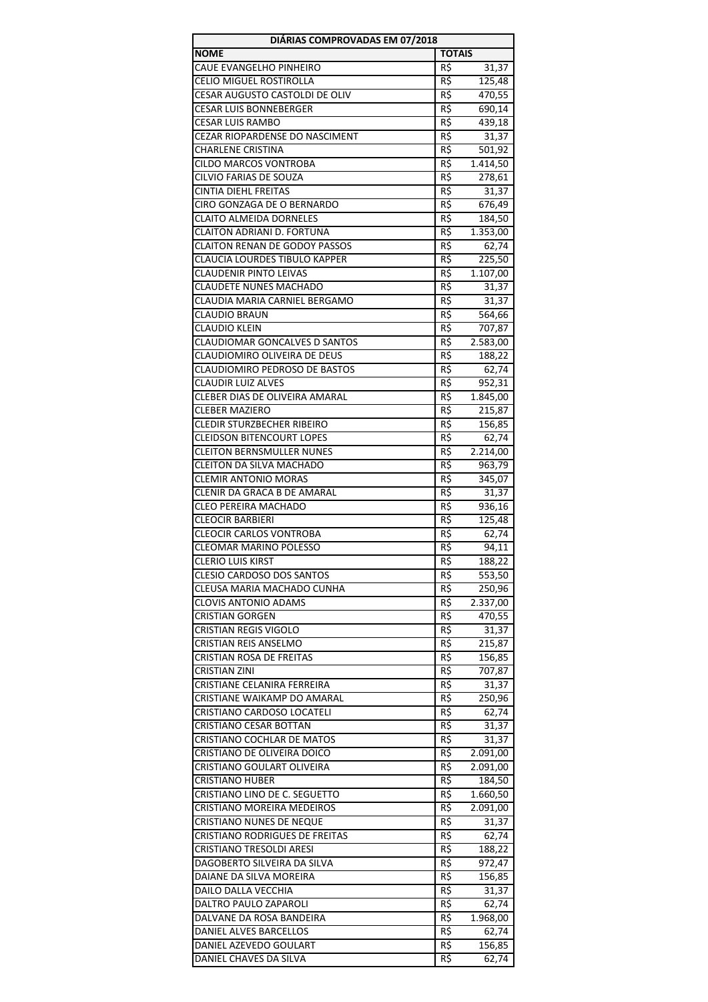| DIÁRIAS COMPROVADAS EM 07/2018                               |                |                    |
|--------------------------------------------------------------|----------------|--------------------|
| <b>NOME</b>                                                  | <b>TOTAIS</b>  |                    |
| CAUE EVANGELHO PINHEIRO                                      | R\$            | 31,37              |
| CELIO MIGUEL ROSTIROLLA                                      | R\$            | 125,48             |
| CESAR AUGUSTO CASTOLDI DE OLIV                               | R\$            | 470,55             |
| <b>CESAR LUIS BONNEBERGER</b>                                | $R\zeta$       | 690,14             |
| <b>CESAR LUIS RAMBO</b>                                      | R\$            | 439,18             |
| CEZAR RIOPARDENSE DO NASCIMENT                               | R\$            | 31,37              |
| <b>CHARLENE CRISTINA</b>                                     | R\$            | 501,92             |
| <b>CILDO MARCOS VONTROBA</b><br>CILVIO FARIAS DE SOUZA       | R\$<br>R\$     | 1.414,50<br>278,61 |
| <b>CINTIA DIEHL FREITAS</b>                                  | R\$            | 31,37              |
| CIRO GONZAGA DE O BERNARDO                                   | R\$            | 676,49             |
| <b>CLAITO ALMEIDA DORNELES</b>                               | R\$            | 184,50             |
| CLAITON ADRIANI D. FORTUNA                                   | R\$            | 1.353,00           |
| <b>CLAITON RENAN DE GODOY PASSOS</b>                         | R\$            | 62,74              |
| <b>CLAUCIA LOURDES TIBULO KAPPER</b>                         | R\$            | 225,50             |
| <b>CLAUDENIR PINTO LEIVAS</b>                                | R\$            | 1.107,00           |
| <b>CLAUDETE NUNES MACHADO</b>                                | R\$            | 31,37              |
| CLAUDIA MARIA CARNIEL BERGAMO                                | R\$            | 31,37              |
| <b>CLAUDIO BRAUN</b>                                         | R\$            | 564,66             |
| <b>CLAUDIO KLEIN</b>                                         | R\$            | 707,87             |
| <b>CLAUDIOMAR GONCALVES D SANTOS</b>                         | R\$            | 2.583,00           |
| CLAUDIOMIRO OLIVEIRA DE DEUS                                 | R\$            | 188,22             |
| CLAUDIOMIRO PEDROSO DE BASTOS                                | R\$            | 62,74              |
| <b>CLAUDIR LUIZ ALVES</b>                                    | R\$            | 952,31             |
| CLEBER DIAS DE OLIVEIRA AMARAL                               | R\$            | 1.845,00           |
| CLEBER MAZIERO                                               | R\$            | 215,87             |
| <b>CLEDIR STURZBECHER RIBEIRO</b>                            | R\$            | 156,85             |
| <b>CLEIDSON BITENCOURT LOPES</b>                             | R\$            | 62,74              |
| <b>CLEITON BERNSMULLER NUNES</b><br>CLEITON DA SILVA MACHADO | R\$            | 2.214,00           |
| <b>CLEMIR ANTONIO MORAS</b>                                  | R\$<br>R\$     | 963,79<br>345,07   |
| CLENIR DA GRACA B DE AMARAL                                  | R\$            | 31,37              |
| <b>CLEO PEREIRA MACHADO</b>                                  | R\$            | 936,16             |
| <b>CLEOCIR BARBIERI</b>                                      | R\$            | 125,48             |
| <b>CLEOCIR CARLOS VONTROBA</b>                               | R\$            | 62,74              |
| <b>CLEOMAR MARINO POLESSO</b>                                | R\$            | 94,11              |
| <b>CLERIO LUIS KIRST</b>                                     | $R\frac{2}{3}$ | 188,22             |
| <b>CLESIO CARDOSO DOS SANTOS</b>                             | R\$            | 553,50             |
| CLEUSA MARIA MACHADO CUNHA                                   | $R\zeta$       | 250,96             |
| <b>CLOVIS ANTONIO ADAMS</b>                                  | R\$            | 2.337,00           |
| <b>CRISTIAN GORGEN</b>                                       | R\$            | 470,55             |
| <b>CRISTIAN REGIS VIGOLO</b>                                 | R\$            | 31,37              |
| CRISTIAN REIS ANSELMO                                        | R\$            | 215,87             |
| CRISTIAN ROSA DE FREITAS                                     | R\$            | 156,85             |
| <b>CRISTIAN ZINI</b><br>CRISTIANE CELANIRA FERREIRA          | R\$            | 707,87             |
| CRISTIANE WAIKAMP DO AMARAL                                  | R\$<br>R\$     | 31,37<br>250,96    |
| CRISTIANO CARDOSO LOCATELI                                   | R\$            | 62,74              |
| CRISTIANO CESAR BOTTAN                                       | R\$            | 31,37              |
| CRISTIANO COCHLAR DE MATOS                                   | R\$            | 31,37              |
| CRISTIANO DE OLIVEIRA DOICO                                  | R\$            | 2.091,00           |
| CRISTIANO GOULART OLIVEIRA                                   | R\$            | 2.091,00           |
| <b>CRISTIANO HUBER</b>                                       | R\$            | 184,50             |
| CRISTIANO LINO DE C. SEGUETTO                                | R\$            | 1.660,50           |
| <b>CRISTIANO MOREIRA MEDEIROS</b>                            | R\$            | 2.091,00           |
| CRISTIANO NUNES DE NEQUE                                     | R\$            | 31,37              |
| CRISTIANO RODRIGUES DE FREITAS                               | R\$            | 62,74              |
| CRISTIANO TRESOLDI ARESI                                     | R\$            | 188,22             |
| DAGOBERTO SILVEIRA DA SILVA                                  | R\$            | 972,47             |
| DAIANE DA SILVA MOREIRA                                      | R\$            | 156,85             |
| DAILO DALLA VECCHIA<br>DALTRO PAULO ZAPAROLI                 | R\$<br>R\$     | 31,37              |
| DALVANE DA ROSA BANDEIRA                                     | R\$            | 62,74<br>1.968,00  |
| DANIEL ALVES BARCELLOS                                       | R\$            | 62,74              |
| DANIEL AZEVEDO GOULART                                       | R\$            | 156,85             |
| DANIEL CHAVES DA SILVA                                       | R\$            | 62,74              |
|                                                              |                |                    |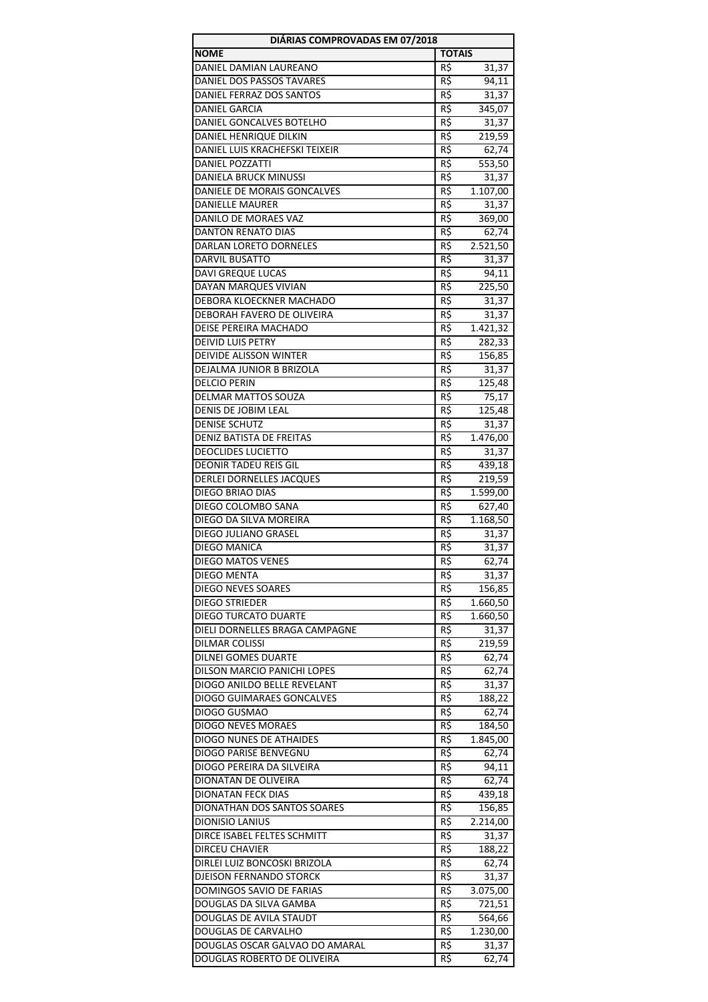| DIÁRIAS COMPROVADAS EM 07/2018                                |                 |                   |
|---------------------------------------------------------------|-----------------|-------------------|
| <b>NOME</b>                                                   | <b>TOTAIS</b>   |                   |
| DANIEL DAMIAN LAUREANO                                        | R\$             | 31,37             |
| DANIEL DOS PASSOS TAVARES                                     | R\$             | 94,11             |
| DANIEL FERRAZ DOS SANTOS                                      | R\$             | 31,37             |
| <b>DANIEL GARCIA</b>                                          | $R\zeta$        | 345,07            |
| DANIEL GONCALVES BOTELHO                                      | R\$             | 31,37             |
| DANIEL HENRIQUE DILKIN                                        | R\$             | 219,59            |
| DANIEL LUIS KRACHEFSKI TEIXEIR                                | R\$             | 62,74             |
| <b>DANIEL POZZATTI</b>                                        | $R\overline{5}$ | 553,50            |
| DANIELA BRUCK MINUSSI                                         | R\$             | 31,37             |
| DANIELE DE MORAIS GONCALVES                                   | R\$             | 1.107,00          |
| <b>DANIELLE MAURER</b>                                        | R\$             | 31,37             |
| DANILO DE MORAES VAZ                                          | R\$             | 369,00            |
| <b>DANTON RENATO DIAS</b>                                     | R\$             | 62,74             |
| DARLAN LORETO DORNELES                                        | R\$             | 2.521,50          |
| <b>DARVIL BUSATTO</b><br><b>DAVI GREQUE LUCAS</b>             | R\$<br>R\$      | 31,37<br>94,11    |
| <b>DAYAN MARQUES VIVIAN</b>                                   | R\$             | 225,50            |
| DEBORA KLOECKNER MACHADO                                      | R\$             |                   |
| DEBORAH FAVERO DE OLIVEIRA                                    | R\$             | 31,37             |
| DEISE PEREIRA MACHADO                                         | R\$             | 31,37<br>1.421,32 |
| <b>DEIVID LUIS PETRY</b>                                      | R\$             | 282,33            |
| DEIVIDE ALISSON WINTER                                        | R\$             | 156,85            |
| DEJALMA JUNIOR B BRIZOLA                                      | R\$             | 31,37             |
| <b>DELCIO PERIN</b>                                           | R\$             | 125,48            |
| DELMAR MATTOS SOUZA                                           | R\$             | 75,17             |
| DENIS DE JOBIM LEAL                                           | R\$             | 125,48            |
| <b>DENISE SCHUTZ</b>                                          | R\$             | 31,37             |
| DENIZ BATISTA DE FREITAS                                      | R\$             | 1.476,00          |
| <b>DEOCLIDES LUCIETTO</b>                                     | $R\zeta$        | 31,37             |
| <b>DEONIR TADEU REIS GIL</b>                                  | R\$             | 439,18            |
| DERLEI DORNELLES JACQUES                                      | R\$             | 219,59            |
| <b>DIEGO BRIAO DIAS</b>                                       | R\$             | 1.599,00          |
| DIEGO COLOMBO SANA                                            | R\$             | 627,40            |
| DIEGO DA SILVA MOREIRA                                        | R\$             | 1.168,50          |
| DIEGO JULIANO GRASEL                                          | R\$             | 31,37             |
| <b>DIEGO MANICA</b>                                           | R\$             | 31,37             |
| DIEGO MATOS VENES                                             | $R\frac{2}{3}$  | 62,74             |
| <b>DIEGO MENTA</b>                                            | R\$             | 31,37             |
| <b>DIEGO NEVES SOARES</b>                                     | R\$             | 156,85            |
| <b>DIEGO STRIEDER</b>                                         | R\$             | 1.660,50          |
| DIEGO TURCATO DUARTE                                          | R\$             | 1.660,50          |
| DIELI DORNELLES BRAGA CAMPAGNE                                | $R\zeta$        | 31,37             |
| <b>DILMAR COLISSI</b>                                         | R\$             | 219,59            |
| <b>DILNEI GOMES DUARTE</b>                                    | $R\zeta$        | 62,74             |
| DILSON MARCIO PANICHI LOPES                                   | R\$             | 62,74             |
| DIOGO ANILDO BELLE REVELANT                                   | R\$             | 31,37             |
| <b>DIOGO GUIMARAES GONCALVES</b>                              | R\$             | 188,22            |
| DIOGO GUSMAO                                                  | R\$             | 62,74             |
| <b>DIOGO NEVES MORAES</b>                                     | R\$             | 184,50            |
| DIOGO NUNES DE ATHAIDES                                       | R\$             | 1.845,00          |
| DIOGO PARISE BENVEGNU                                         | R\$             | 62,74             |
| DIOGO PEREIRA DA SILVEIRA                                     | R\$             | 94,11             |
| DIONATAN DE OLIVEIRA                                          | R\$             | 62,74             |
| <b>DIONATAN FECK DIAS</b>                                     | R\$             | 439,18            |
| DIONATHAN DOS SANTOS SOARES                                   | R\$             | 156,85            |
| DIONISIO LANIUS                                               | R\$             | 2.214,00          |
| DIRCE ISABEL FELTES SCHMITT                                   | $R\zeta$        | 31,37             |
| <b>DIRCEU CHAVIER</b>                                         | R\$             | 188,22            |
| DIRLEI LUIZ BONCOSKI BRIZOLA                                  | R\$             | 62,74             |
| <b>DJEISON FERNANDO STORCK</b>                                | R\$             | 31,37             |
| DOMINGOS SAVIO DE FARIAS                                      | R\$             | 3.075,00          |
| DOUGLAS DA SILVA GAMBA                                        | R\$             | 721,51            |
| DOUGLAS DE AVILA STAUDT                                       | R\$             | 564,66            |
| DOUGLAS DE CARVALHO                                           | R\$             | 1.230,00          |
| DOUGLAS OSCAR GALVAO DO AMARAL<br>DOUGLAS ROBERTO DE OLIVEIRA | R\$<br>R\$      | 31,37<br>62,74    |
|                                                               |                 |                   |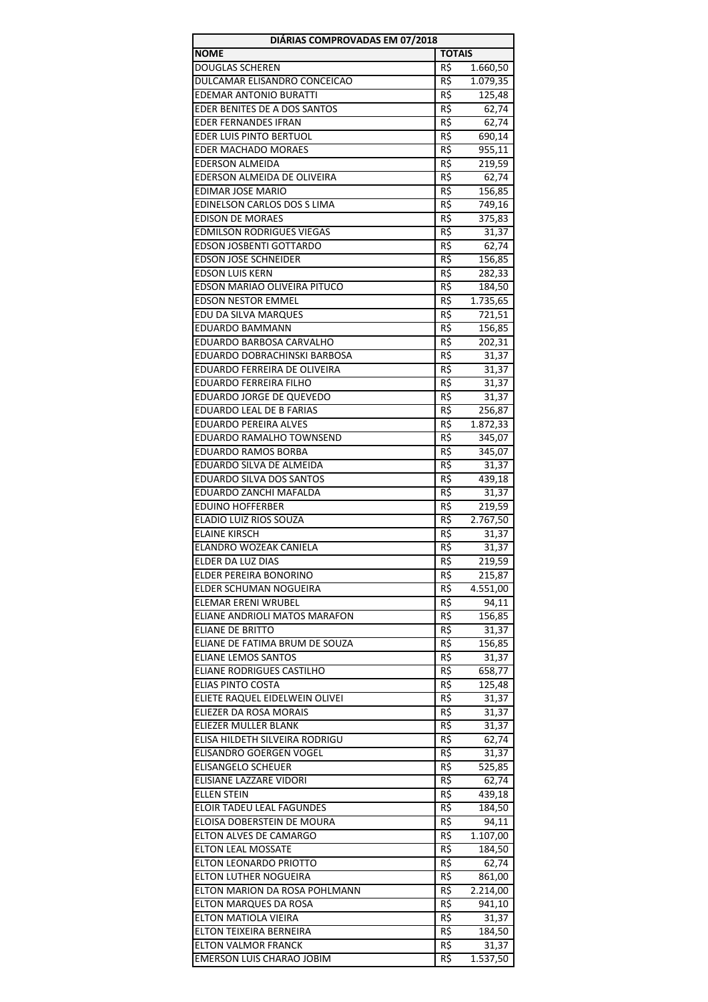| DIÁRIAS COMPROVADAS EM 07/2018                              |                 |                 |
|-------------------------------------------------------------|-----------------|-----------------|
| <b>NOME</b>                                                 | <b>TOTAIS</b>   |                 |
| <b>DOUGLAS SCHEREN</b>                                      | R\$             | 1.660,50        |
| DULCAMAR ELISANDRO CONCEICAO                                | R\$             | 1.079,35        |
| <b>EDEMAR ANTONIO BURATTI</b>                               | R\$             | 125,48          |
| EDER BENITES DE A DOS SANTOS                                | $R\zeta$        | 62,74           |
| <b>EDER FERNANDES IFRAN</b>                                 | R\$             | 62,74           |
| EDER LUIS PINTO BERTUOL                                     | R\$             | 690,14          |
| EDER MACHADO MORAES                                         | R\$             | 955,11          |
| <b>EDERSON ALMEIDA</b>                                      | R\$             | 219,59          |
| EDERSON ALMEIDA DE OLIVEIRA                                 | R\$             | 62,74           |
| <b>EDIMAR JOSE MARIO</b>                                    | $R\overline{S}$ | 156,85          |
| EDINELSON CARLOS DOS S LIMA                                 | R\$             | 749,16          |
| <b>EDISON DE MORAES</b><br><b>EDMILSON RODRIGUES VIEGAS</b> | R\$<br>R\$      | 375,83          |
| EDSON JOSBENTI GOTTARDO                                     | R\$             | 31,37           |
| <b>EDSON JOSE SCHNEIDER</b>                                 | R\$             | 62,74<br>156,85 |
| <b>EDSON LUIS KERN</b>                                      | R\$             | 282,33          |
| EDSON MARIAO OLIVEIRA PITUCO                                | R\$             | 184,50          |
| <b>EDSON NESTOR EMMEL</b>                                   | R\$             | 1.735,65        |
| EDU DA SILVA MARQUES                                        | R\$             | 721,51          |
| <b>EDUARDO BAMMANN</b>                                      | R\$             | 156,85          |
| EDUARDO BARBOSA CARVALHO                                    | R\$             | 202,31          |
| EDUARDO DOBRACHINSKI BARBOSA                                | R\$             | 31,37           |
| EDUARDO FERREIRA DE OLIVEIRA                                | R\$             | 31,37           |
| EDUARDO FERREIRA FILHO                                      | R\$             | 31,37           |
| EDUARDO JORGE DE QUEVEDO                                    | R\$             | 31,37           |
| EDUARDO LEAL DE B FARIAS                                    | R\$             | 256,87          |
| EDUARDO PEREIRA ALVES                                       | R\$             | 1.872,33        |
| EDUARDO RAMALHO TOWNSEND                                    | R\$             | 345,07          |
| <b>EDUARDO RAMOS BORBA</b>                                  | $R\zeta$        | 345,07          |
| EDUARDO SILVA DE ALMEIDA                                    | R\$             | 31,37           |
| EDUARDO SILVA DOS SANTOS                                    | R\$             | 439,18          |
| EDUARDO ZANCHI MAFALDA                                      | R\$             | 31,37           |
| <b>EDUINO HOFFERBER</b>                                     | R\$             | 219,59          |
| ELADIO LUIZ RIOS SOUZA                                      | R\$             | 2.767,50        |
| <b>ELAINE KIRSCH</b>                                        | R\$             | 31,37           |
| ELANDRO WOZEAK CANIELA                                      | R\$             | 31,37           |
| ELDER DA LUZ DIAS                                           | R\$             | 219,59          |
| ELDER PEREIRA BONORINO                                      | R\$             | 215,87          |
| ELDER SCHUMAN NOGUEIRA                                      | $R\zeta$        | 4.551,00        |
| ELEMAR ERENI WRUBEL                                         | R\$             | 94,11           |
| ELIANE ANDRIOLI MATOS MARAFON                               | R\$             | 156,85          |
| <b>ELIANE DE BRITTO</b>                                     | R\$             | 31,37           |
| ELIANE DE FATIMA BRUM DE SOUZA                              | R\$             | 156,85          |
| <b>ELIANE LEMOS SANTOS</b>                                  | R\$             | 31,37           |
| ELIANE RODRIGUES CASTILHO                                   | R\$             | 658,77          |
| <b>ELIAS PINTO COSTA</b>                                    | R\$             | 125,48          |
| ELIETE RAQUEL EIDELWEIN OLIVEI                              | R\$             | 31,37           |
| ELIEZER DA ROSA MORAIS<br>ELIEZER MULLER BLANK              | R\$             | 31,37           |
|                                                             | R\$             | 31,37           |
| ELISA HILDETH SILVEIRA RODRIGU<br>ELISANDRO GOERGEN VOGEL   | R\$<br>R\$      | 62,74<br>31,37  |
| ELISANGELO SCHEUER                                          | R\$             | 525,85          |
| ELISIANE LAZZARE VIDORI                                     | R\$             | 62,74           |
| <b>ELLEN STEIN</b>                                          | R\$             | 439,18          |
| ELOIR TADEU LEAL FAGUNDES                                   | R\$             | 184,50          |
| ELOISA DOBERSTEIN DE MOURA                                  | R\$             | 94,11           |
| ELTON ALVES DE CAMARGO                                      | R\$             | 1.107,00        |
| <b>ELTON LEAL MOSSATE</b>                                   | R\$             | 184,50          |
| ELTON LEONARDO PRIOTTO                                      | R\$             | 62,74           |
| ELTON LUTHER NOGUEIRA                                       | R\$             | 861,00          |
| ELTON MARION DA ROSA POHLMANN                               | R\$             | 2.214,00        |
| ELTON MARQUES DA ROSA                                       | R\$             | 941,10          |
| ELTON MATIOLA VIEIRA                                        | R\$             | 31,37           |
| ELTON TEIXEIRA BERNEIRA                                     | R\$             | 184,50          |
| <b>ELTON VALMOR FRANCK</b>                                  | R\$             | 31,37           |
| EMERSON LUIS CHARAO JOBIM                                   | R\$             | 1.537,50        |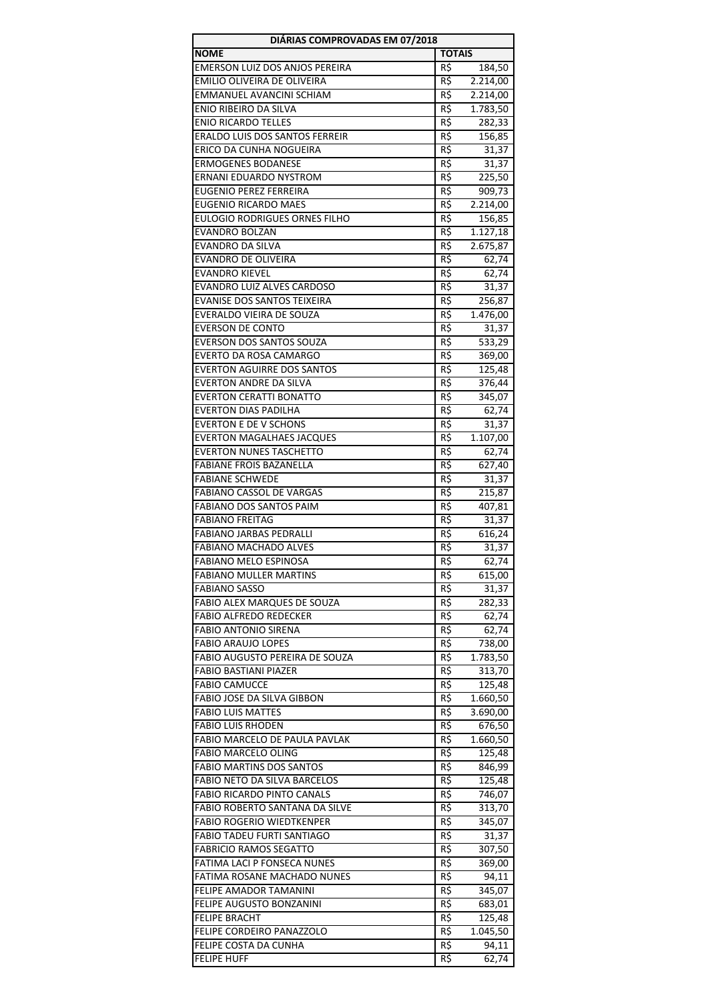| DIÁRIAS COMPROVADAS EM 07/2018        |                 |          |
|---------------------------------------|-----------------|----------|
| <b>NOME</b>                           | <b>TOTAIS</b>   |          |
| EMERSON LUIZ DOS ANJOS PEREIRA        | R\$             | 184,50   |
| EMILIO OLIVEIRA DE OLIVEIRA           | R\$             | 2.214,00 |
| <b>EMMANUEL AVANCINI SCHIAM</b>       | R\$             | 2.214,00 |
| ENIO RIBEIRO DA SILVA                 | R\$             | 1.783,50 |
| <b>ENIO RICARDO TELLES</b>            | R\$             | 282,33   |
| <b>ERALDO LUIS DOS SANTOS FERREIR</b> | R\$             | 156,85   |
| ERICO DA CUNHA NOGUEIRA               | R\$             | 31,37    |
| <b>ERMOGENES BODANESE</b>             | $R\zeta$        | 31,37    |
| ERNANI EDUARDO NYSTROM                | R\$             | 225,50   |
| <b>EUGENIO PEREZ FERREIRA</b>         | R\$             | 909,73   |
| <b>EUGENIO RICARDO MAES</b>           | R\$             | 2.214,00 |
| EULOGIO RODRIGUES ORNES FILHO         | R\$             | 156,85   |
| EVANDRO BOLZAN                        | R\$             | 1.127,18 |
| EVANDRO DA SILVA                      | R\$             | 2.675,87 |
| EVANDRO DE OLIVEIRA                   | R\$             | 62,74    |
| <b>EVANDRO KIEVEL</b>                 | R\$             | 62,74    |
| EVANDRO LUIZ ALVES CARDOSO            | R\$             | 31,37    |
| <b>EVANISE DOS SANTOS TEIXEIRA</b>    | R\$             | 256,87   |
| EVERALDO VIEIRA DE SOUZA              | R\$             | 1.476,00 |
| <b>EVERSON DE CONTO</b>               | R\$             | 31,37    |
| EVERSON DOS SANTOS SOUZA              | R\$             | 533,29   |
| <b>EVERTO DA ROSA CAMARGO</b>         | R\$             | 369,00   |
| <b>EVERTON AGUIRRE DOS SANTOS</b>     | R\$             | 125,48   |
| EVERTON ANDRE DA SILVA                | $R\overline{5}$ | 376,44   |
| <b>EVERTON CERATTI BONATTO</b>        | R\$             | 345,07   |
| <b>EVERTON DIAS PADILHA</b>           | R\$             | 62,74    |
| <b>EVERTON E DE V SCHONS</b>          | R\$             | 31,37    |
| <b>EVERTON MAGALHAES JACQUES</b>      | R\$             | 1.107,00 |
| <b>EVERTON NUNES TASCHETTO</b>        | R\$             | 62,74    |
| <b>FABIANE FROIS BAZANELLA</b>        | R\$             | 627,40   |
| <b>FABIANE SCHWEDE</b>                | $R\zeta$        | 31,37    |
| <b>FABIANO CASSOL DE VARGAS</b>       | R\$             | 215,87   |
| FABIANO DOS SANTOS PAIM               | R\$             | 407,81   |
| <b>FABIANO FREITAG</b>                | R\$             | 31,37    |
| <b>FABIANO JARBAS PEDRALLI</b>        | R\$             | 616,24   |
| FABIANO MACHADO ALVES                 | R\$             | 31,37    |
| FABIANO MELO ESPINOSA                 | R\$             | 62,74    |
| <b>FABIANO MULLER MARTINS</b>         | R\$             | 615,00   |
| FABIANO SASSO                         | R\$             | 31,37    |
| FABIO ALEX MARQUES DE SOUZA           | R\$             | 282,33   |
| <b>FABIO ALFREDO REDECKER</b>         | R\$             | 62,74    |
| <b>FABIO ANTONIO SIRENA</b>           | R\$             | 62,74    |
| <b>FABIO ARAUJO LOPES</b>             | R\$             | 738,00   |
| FABIO AUGUSTO PEREIRA DE SOUZA        | R\$             | 1.783,50 |
| <b>FABIO BASTIANI PIAZER</b>          | R\$             | 313,70   |
| <b>FABIO CAMUCCE</b>                  | R\$             | 125,48   |
| FABIO JOSE DA SILVA GIBBON            | R\$             | 1.660,50 |
| <b>FABIO LUIS MATTES</b>              | R\$             | 3.690,00 |
| <b>FABIO LUIS RHODEN</b>              | R\$             | 676,50   |
| FABIO MARCELO DE PAULA PAVLAK         | R\$             | 1.660,50 |
| <b>FABIO MARCELO OLING</b>            | R\$             | 125,48   |
| <b>FABIO MARTINS DOS SANTOS</b>       | R\$             | 846,99   |
| FABIO NETO DA SILVA BARCELOS          | R\$             | 125,48   |
| <b>FABIO RICARDO PINTO CANALS</b>     | R\$             | 746,07   |
| <b>FABIO ROBERTO SANTANA DA SILVE</b> | R\$             | 313,70   |
| <b>FABIO ROGERIO WIEDTKENPER</b>      | R\$             | 345,07   |
| FABIO TADEU FURTI SANTIAGO            | R\$             | 31,37    |
| <b>FABRICIO RAMOS SEGATTO</b>         | R\$             | 307,50   |
| FATIMA LACI P FONSECA NUNES           | R\$             | 369,00   |
| FATIMA ROSANE MACHADO NUNES           | R\$             | 94,11    |
| FELIPE AMADOR TAMANINI                | R\$             | 345,07   |
| FELIPE AUGUSTO BONZANINI              | R\$             | 683,01   |
| <b>FELIPE BRACHT</b>                  | R\$             | 125,48   |
| FELIPE CORDEIRO PANAZZOLO             | R\$             | 1.045,50 |
| FELIPE COSTA DA CUNHA                 | R\$             | 94,11    |
| <b>FELIPE HUFF</b>                    | R\$             | 62,74    |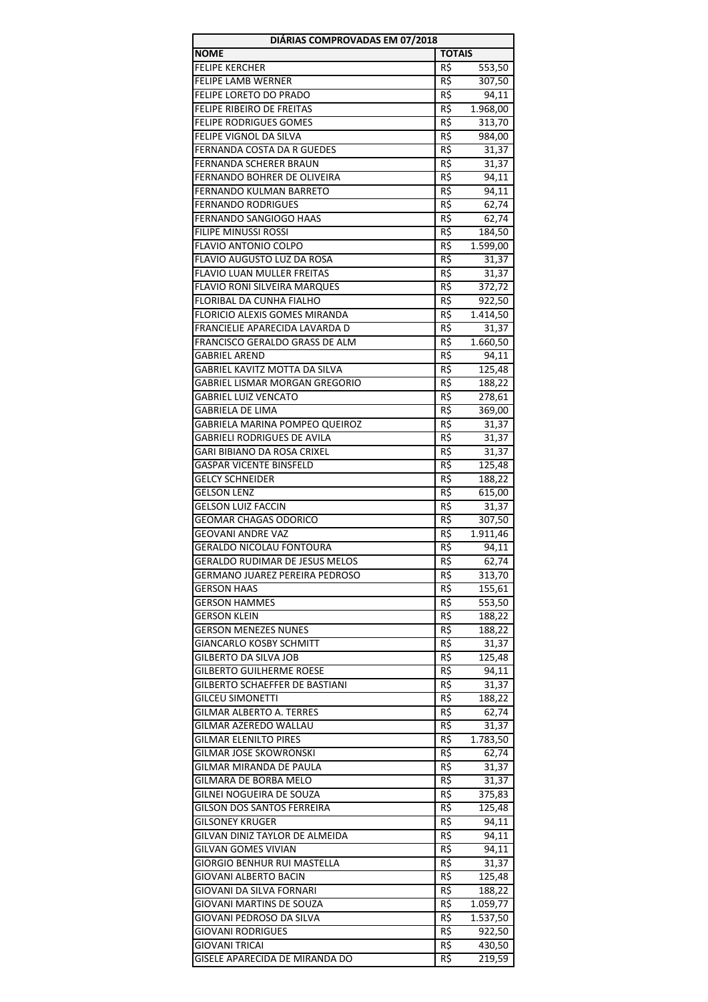| DIÁRIAS COMPROVADAS EM 07/2018                                    |               |                      |
|-------------------------------------------------------------------|---------------|----------------------|
| <b>NOME</b>                                                       | <b>TOTAIS</b> |                      |
| <b>FELIPE KERCHER</b>                                             | R\$           | 553,50               |
| <b>FELIPE LAMB WERNER</b>                                         | R\$           | 307,50               |
| FELIPE LORETO DO PRADO                                            | R\$           | 94,11                |
| <b>FELIPE RIBEIRO DE FREITAS</b>                                  | R\$           | 1.968,00             |
| <b>FELIPE RODRIGUES GOMES</b>                                     | R\$           | 313,70               |
| FELIPE VIGNOL DA SILVA                                            | R\$           | 984,00               |
| FERNANDA COSTA DA R GUEDES                                        | R\$           | 31,37                |
| FERNANDA SCHERER BRAUN                                            | R\$           | 31,37                |
| FERNANDO BOHRER DE OLIVEIRA                                       | R\$           | 94,11                |
| FERNANDO KULMAN BARRETO                                           | R\$           | 94,11                |
| <b>FERNANDO RODRIGUES</b>                                         | R\$           | 62,74                |
| FERNANDO SANGIOGO HAAS<br>FILIPE MINUSSI ROSSI                    | R\$<br>R\$    | 62,74                |
| FLAVIO ANTONIO COLPO                                              | R\$           | 184,50               |
| FLAVIO AUGUSTO LUZ DA ROSA                                        | R\$           | 1.599,00<br>31,37    |
| FLAVIO LUAN MULLER FREITAS                                        | R\$           | 31,37                |
| FLAVIO RONI SILVEIRA MARQUES                                      | R\$           | 372,72               |
| FLORIBAL DA CUNHA FIALHO                                          | R\$           | 922,50               |
| FLORICIO ALEXIS GOMES MIRANDA                                     | R\$           | 1.414,50             |
| FRANCIELIE APARECIDA LAVARDA D                                    | R\$           | 31,37                |
| FRANCISCO GERALDO GRASS DE ALM                                    | R\$           | 1.660,50             |
| <b>GABRIEL AREND</b>                                              | R\$           | 94,11                |
| GABRIEL KAVITZ MOTTA DA SILVA                                     | R\$           | 125,48               |
| GABRIEL LISMAR MORGAN GREGORIO                                    | R\$           | 188,22               |
| GABRIEL LUIZ VENCATO                                              | R\$           | 278,61               |
| GABRIELA DE LIMA                                                  | R\$           | 369,00               |
| GABRIELA MARINA POMPEO QUEIROZ                                    | R\$           | 31,37                |
| <b>GABRIELI RODRIGUES DE AVILA</b>                                | R\$           | 31,37                |
| GARI BIBIANO DA ROSA CRIXEL                                       | R\$           | 31,37                |
| <b>GASPAR VICENTE BINSFELD</b>                                    | R\$           | 125,48               |
| <b>GELCY SCHNEIDER</b>                                            | $R\zeta$      | 188,22               |
| <b>GELSON LENZ</b>                                                | R\$           | 615,00               |
| <b>GELSON LUIZ FACCIN</b>                                         | R\$           | 31,37                |
| <b>GEOMAR CHAGAS ODORICO</b>                                      | R\$           | 307,50               |
| <b>GEOVANI ANDRE VAZ</b>                                          | R\$           | 1.911,46             |
| GERALDO NICOLAU FONTOURA                                          | R\$           | 94,11                |
| GERALDO RUDIMAR DE JESUS MELOS                                    | R\$           | 62,74                |
| GERMANO JUAREZ PEREIRA PEDROSO                                    | R\$           | 313,70               |
| GERSON HAAS                                                       | R\$           | 155,61               |
| <b>GERSON HAMMES</b>                                              | R\$           | $\overline{553}$ ,50 |
| <b>GERSON KLEIN</b>                                               | R\$           | 188,22               |
| <b>GERSON MENEZES NUNES</b>                                       | R\$           | 188,22               |
| GIANCARLO KOSBY SCHMITT                                           | R\$           | 31,37                |
| GILBERTO DA SILVA JOB                                             | R\$           | 125,48               |
| <b>GILBERTO GUILHERME ROESE</b><br>GILBERTO SCHAEFFER DE BASTIANI | R\$           | 94,11                |
| <b>GILCEU SIMONETTI</b>                                           | R\$<br>R\$    | 31,37<br>188,22      |
| GILMAR ALBERTO A. TERRES                                          | R\$           | 62,74                |
| GILMAR AZEREDO WALLAU                                             | R\$           | 31,37                |
| <b>GILMAR ELENILTO PIRES</b>                                      | R\$           | 1.783,50             |
| GILMAR JOSE SKOWRONSKI                                            | R\$           | 62,74                |
| GILMAR MIRANDA DE PAULA                                           | R\$           | 31,37                |
| GILMARA DE BORBA MELO                                             | R\$           | 31,37                |
| GILNEI NOGUEIRA DE SOUZA                                          | R\$           | 375,83               |
| GILSON DOS SANTOS FERREIRA                                        | R\$           | 125,48               |
| <b>GILSONEY KRUGER</b>                                            | R\$           | 94,11                |
| GILVAN DINIZ TAYLOR DE ALMEIDA                                    | R\$           | 94,11                |
| GILVAN GOMES VIVIAN                                               | R\$           | 94,11                |
| <b>GIORGIO BENHUR RUI MASTELLA</b>                                | R\$           | 31,37                |
| <b>GIOVANI ALBERTO BACIN</b>                                      | R\$           | 125,48               |
| GIOVANI DA SILVA FORNARI                                          | R\$           | 188,22               |
| GIOVANI MARTINS DE SOUZA                                          | R\$           | 1.059,77             |
| GIOVANI PEDROSO DA SILVA                                          | R\$           | 1.537,50             |
| GIOVANI RODRIGUES                                                 | R\$           | 922,50               |
| GIOVANI TRICAI                                                    | R\$           | 430,50               |
| GISELE APARECIDA DE MIRANDA DO                                    | R\$           | 219,59               |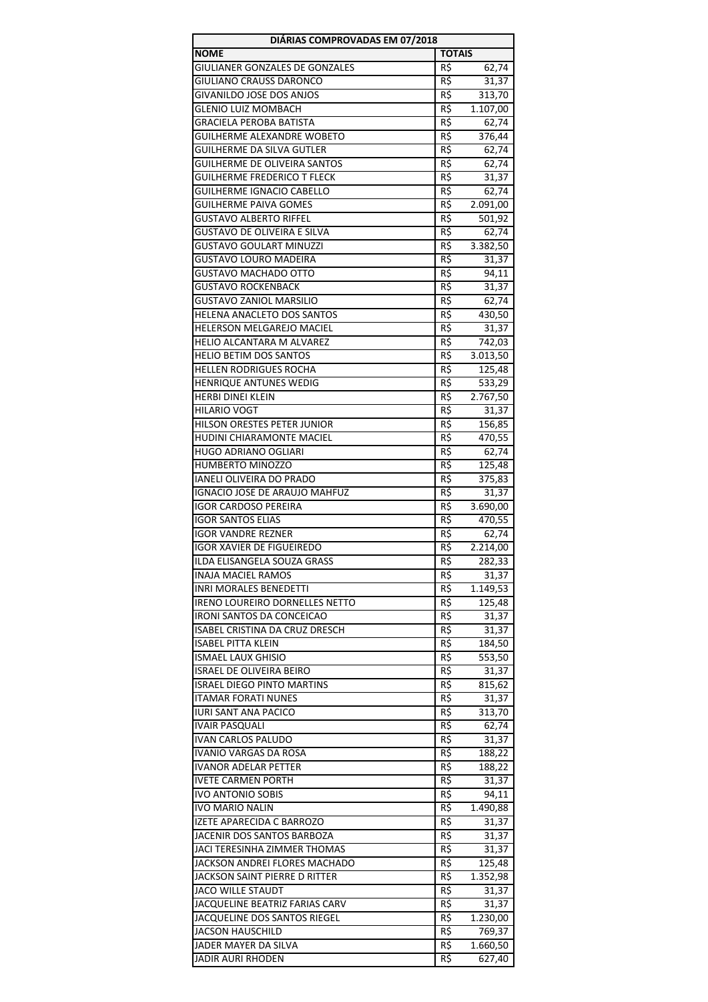| DIÁRIAS COMPROVADAS EM 07/2018        |                 |          |
|---------------------------------------|-----------------|----------|
| <b>NOME</b>                           | <b>TOTAIS</b>   |          |
| <b>GIULIANER GONZALES DE GONZALES</b> | R\$             | 62,74    |
| GIULIANO CRAUSS DARONCO               | R\$             | 31,37    |
| GIVANILDO JOSE DOS ANJOS              | R\$             | 313,70   |
| <b>GLENIO LUIZ MOMBACH</b>            | R\$             | 1.107,00 |
| <b>GRACIELA PEROBA BATISTA</b>        | R\$             | 62,74    |
| <b>GUILHERME ALEXANDRE WOBETO</b>     | R\$             | 376,44   |
| <b>GUILHERME DA SILVA GUTLER</b>      | $R\zeta$        | 62,74    |
| <b>GUILHERME DE OLIVEIRA SANTOS</b>   | R\$             | 62,74    |
| <b>GUILHERME FREDERICO T FLECK</b>    | R\$             | 31,37    |
| <b>GUILHERME IGNACIO CABELLO</b>      | R\$             | 62,74    |
| <b>GUILHERME PAIVA GOMES</b>          | R\$             | 2.091,00 |
| <b>GUSTAVO ALBERTO RIFFEL</b>         | R\$             | 501,92   |
| <b>GUSTAVO DE OLIVEIRA E SILVA</b>    | R\$             | 62,74    |
| GUSTAVO GOULART MINUZZI               | R\$             | 3.382,50 |
| GUSTAVO LOURO MADEIRA                 | R\$             | 31,37    |
| <b>GUSTAVO MACHADO OTTO</b>           | R\$             | 94,11    |
| <b>GUSTAVO ROCKENBACK</b>             | R\$             | 31,37    |
| <b>GUSTAVO ZANIOL MARSILIO</b>        | R\$             | 62,74    |
| HELENA ANACLETO DOS SANTOS            | R\$             | 430,50   |
| <b>HELERSON MELGAREJO MACIEL</b>      | R\$             | 31,37    |
| HELIO ALCANTARA M ALVAREZ             | R\$             | 742,03   |
| HELIO BETIM DOS SANTOS                | R\$             | 3.013,50 |
| <b>HELLEN RODRIGUES ROCHA</b>         | $R\overline{5}$ | 125,48   |
| HENRIQUE ANTUNES WEDIG                | R\$             | 533,29   |
| <b>HERBI DINEI KLEIN</b>              | R\$             | 2.767,50 |
| <b>HILARIO VOGT</b>                   | R\$             | 31,37    |
| HILSON ORESTES PETER JUNIOR           | R\$             | 156,85   |
| HUDINI CHIARAMONTE MACIEL             | R\$             | 470,55   |
| <b>HUGO ADRIANO OGLIARI</b>           | R\$             | 62,74    |
| <b>HUMBERTO MINOZZO</b>               | $R\overline{S}$ | 125,48   |
| <b>IANELI OLIVEIRA DO PRADO</b>       | R\$             | 375,83   |
| IGNACIO JOSE DE ARAUJO MAHFUZ         | R\$             | 31,37    |
| <b>IGOR CARDOSO PEREIRA</b>           | R\$             | 3.690,00 |
| <b>IGOR SANTOS ELIAS</b>              | R\$             | 470,55   |
| <b>IGOR VANDRE REZNER</b>             | R\$             | 62,74    |
| <b>IGOR XAVIER DE FIGUEIREDO</b>      | R\$             | 2.214,00 |
| ILDA ELISANGELA SOUZA GRASS           | R\$             | 282,33   |
| <b>INAJA MACIEL RAMOS</b>             | R\$             | 31,37    |
| <b>INRI MORALES BENEDETTI</b>         | R\$             | 1.149,53 |
| IRENO LOUREIRO DORNELLES NETTO        | R\$             | 125,48   |
| <b>IRONI SANTOS DA CONCEICAO</b>      | R\$             | 31,37    |
| <b>ISABEL CRISTINA DA CRUZ DRESCH</b> | R\$             | 31,37    |
| <b>ISABEL PITTA KLEIN</b>             | R\$             | 184,50   |
| <b>ISMAEL LAUX GHISIO</b>             | R\$             | 553,50   |
| <b>ISRAEL DE OLIVEIRA BEIRO</b>       | R\$             | 31,37    |
| <b>ISRAEL DIEGO PINTO MARTINS</b>     | R\$             | 815,62   |
| <b>ITAMAR FORATI NUNES</b>            | R\$             | 31,37    |
| <b>IURI SANT ANA PACICO</b>           | R\$             | 313,70   |
| <b>IVAIR PASQUALI</b>                 | R\$             | 62,74    |
| <b>IVAN CARLOS PALUDO</b>             | R\$             | 31,37    |
| IVANIO VARGAS DA ROSA                 | R\$             | 188,22   |
| IVANOR ADELAR PETTER                  | R\$             | 188,22   |
| <b>IVETE CARMEN PORTH</b>             | R\$             | 31,37    |
| <b>IVO ANTONIO SOBIS</b>              | R\$             | 94,11    |
| <b>IVO MARIO NALIN</b>                | R\$             | 1.490,88 |
| IZETE APARECIDA C BARROZO             | R\$             | 31,37    |
| JACENIR DOS SANTOS BARBOZA            | R\$             | 31,37    |
| JACI TERESINHA ZIMMER THOMAS          | R\$             | 31,37    |
| JACKSON ANDREI FLORES MACHADO         | R\$             | 125,48   |
| JACKSON SAINT PIERRE D RITTER         | R\$             | 1.352,98 |
| <b>JACO WILLE STAUDT</b>              | R\$             | 31,37    |
| JACQUELINE BEATRIZ FARIAS CARV        | R\$             | 31,37    |
| JACQUELINE DOS SANTOS RIEGEL          | R\$             | 1.230,00 |
| <b>JACSON HAUSCHILD</b>               | R\$             | 769,37   |
| JADER MAYER DA SILVA                  | R\$             | 1.660,50 |
| JADIR AURI RHODEN                     | R\$             | 627,40   |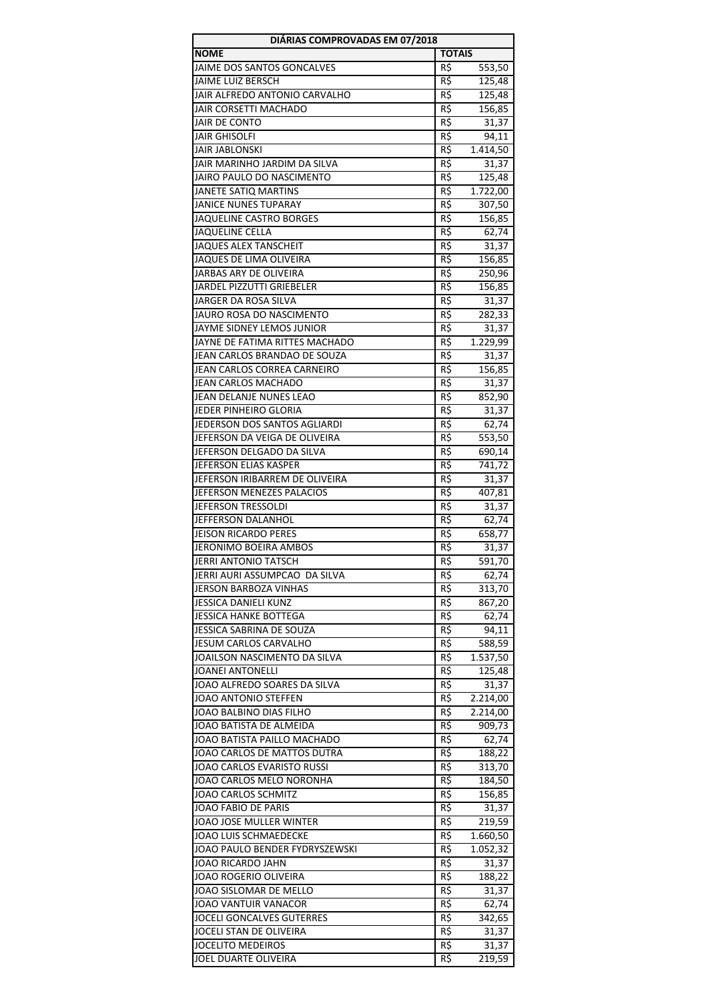| DIÁRIAS COMPROVADAS EM 07/2018   |                 |          |
|----------------------------------|-----------------|----------|
| <b>NOME</b>                      | <b>TOTAIS</b>   |          |
| JAIME DOS SANTOS GONCALVES       | R\$             | 553,50   |
| JAIME LUIZ BERSCH                | R\$             | 125,48   |
| JAIR ALFREDO ANTONIO CARVALHO    | R\$             | 125,48   |
| JAIR CORSETTI MACHADO            | R\$             | 156,85   |
| JAIR DE CONTO                    | R\$             | 31,37    |
| <b>JAIR GHISOLFI</b>             | R\$             | 94,11    |
| <b>JAIR JABLONSKI</b>            | R\$             | 1.414,50 |
| JAIR MARINHO JARDIM DA SILVA     | $R\overline{5}$ | 31,37    |
| JAIRO PAULO DO NASCIMENTO        | R\$             | 125,48   |
| JANETE SATIQ MARTINS             | R\$             | 1.722,00 |
| JANICE NUNES TUPARAY             | R\$             | 307,50   |
| JAQUELINE CASTRO BORGES          | R\$             | 156,85   |
| <b>JAQUELINE CELLA</b>           | R\$             | 62,74    |
| <b>JAQUES ALEX TANSCHEIT</b>     | R\$             | 31,37    |
| JAQUES DE LIMA OLIVEIRA          | R\$             | 156,85   |
| JARBAS ARY DE OLIVEIRA           | R\$             | 250,96   |
| JARDEL PIZZUTTI GRIEBELER        | R\$             | 156,85   |
| JARGER DA ROSA SILVA             | R\$             | 31,37    |
| JAURO ROSA DO NASCIMENTO         | R\$             | 282,33   |
| JAYME SIDNEY LEMOS JUNIOR        | R\$             | 31,37    |
| JAYNE DE FATIMA RITTES MACHADO   | R\$             | 1.229,99 |
| JEAN CARLOS BRANDAO DE SOUZA     | R\$             | 31,37    |
| JEAN CARLOS CORREA CARNEIRO      | R\$             | 156,85   |
| JEAN CARLOS MACHADO              | R\$             | 31,37    |
| JEAN DELANJE NUNES LEAO          | R\$             | 852,90   |
| JEDER PINHEIRO GLORIA            | R\$             | 31,37    |
| JEDERSON DOS SANTOS AGLIARDI     | R\$             | 62,74    |
| JEFERSON DA VEIGA DE OLIVEIRA    | R\$             | 553,50   |
| JEFERSON DELGADO DA SILVA        | $R\zeta$        | 690,14   |
| JEFERSON ELIAS KASPER            | R\$             | 741,72   |
| JEFERSON IRIBARREM DE OLIVEIRA   | R\$             | 31,37    |
| JEFERSON MENEZES PALACIOS        | R\$             | 407,81   |
| <b>JEFERSON TRESSOLDI</b>        | R\$             | 31,37    |
| JEFFERSON DALANHOL               | R\$             | 62,74    |
| <b>JEISON RICARDO PERES</b>      | R\$             | 658,77   |
| JERONIMO BOEIRA AMBOS            | R\$             | 31,37    |
| JERRI ANTONIO TATSCH             | R\$             | 591,70   |
| JERRI AURI ASSUMPCAO DA SILVA    | R\$             | 62,74    |
| JERSON BARBOZA VINHAS            | R\$             | 313,70   |
| <b>JESSICA DANIELI KUNZ</b>      | R\$             | 867,20   |
| <b>JESSICA HANKE BOTTEGA</b>     | R\$             | 62,74    |
| JESSICA SABRINA DE SOUZA         | R\$             | 94,11    |
| JESUM CARLOS CARVALHO            | R\$             | 588,59   |
| JOAILSON NASCIMENTO DA SILVA     | R\$             | 1.537,50 |
| <b>JOANEI ANTONELLI</b>          | R\$             | 125,48   |
| JOAO ALFREDO SOARES DA SILVA     | R\$             | 31,37    |
| JOAO ANTONIO STEFFEN             | R\$             | 2.214,00 |
| JOAO BALBINO DIAS FILHO          | R\$             | 2.214,00 |
| JOAO BATISTA DE ALMEIDA          | R\$             | 909,73   |
| JOAO BATISTA PAILLO MACHADO      | R\$             | 62,74    |
| JOAO CARLOS DE MATTOS DUTRA      | R\$             | 188,22   |
| JOAO CARLOS EVARISTO RUSSI       | R\$             | 313,70   |
| JOAO CARLOS MELO NORONHA         | R\$             | 184,50   |
| <b>JOAO CARLOS SCHMITZ</b>       | R\$             | 156,85   |
| JOAO FABIO DE PARIS              | R\$             | 31,37    |
| JOAO JOSE MULLER WINTER          | R\$             | 219,59   |
| JOAO LUIS SCHMAEDECKE            | R\$             | 1.660,50 |
| JOAO PAULO BENDER FYDRYSZEWSKI   | R\$             | 1.052,32 |
| JOAO RICARDO JAHN                | R\$             | 31,37    |
| <b>JOAO ROGERIO OLIVEIRA</b>     | R\$             | 188,22   |
| JOAO SISLOMAR DE MELLO           | R\$             | 31,37    |
| JOAO VANTUIR VANACOR             | R\$             | 62,74    |
| <b>JOCELI GONCALVES GUTERRES</b> | R\$             | 342,65   |
| JOCELI STAN DE OLIVEIRA          | R\$             | 31,37    |
| <b>JOCELITO MEDEIROS</b>         | R\$             | 31,37    |
| JOEL DUARTE OLIVEIRA             | R\$             | 219,59   |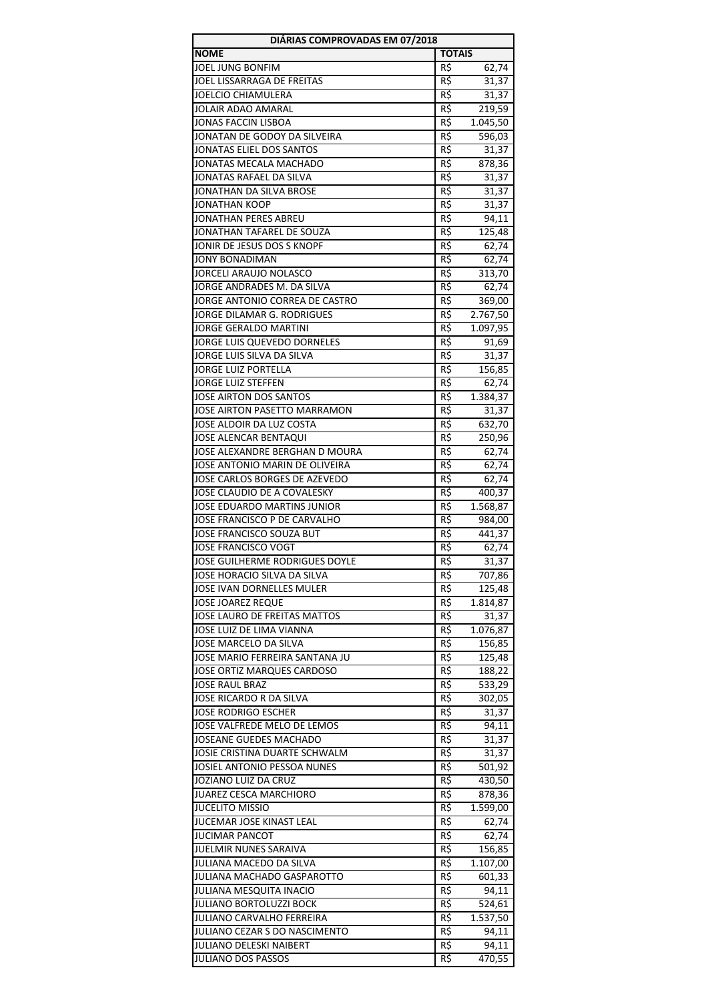| DIÁRIAS COMPROVADAS EM 07/2018                          |                 |                 |
|---------------------------------------------------------|-----------------|-----------------|
| <b>NOME</b>                                             | <b>TOTAIS</b>   |                 |
| JOEL JUNG BONFIM                                        | R\$             | 62,74           |
| JOEL LISSARRAGA DE FREITAS                              | R\$             | 31,37           |
| <b>JOELCIO CHIAMULERA</b>                               | R\$             | 31,37           |
| JOLAIR ADAO AMARAL                                      | R\$             | 219,59          |
| <b>JONAS FACCIN LISBOA</b>                              | R\$             | 1.045,50        |
| JONATAN DE GODOY DA SILVEIRA                            | R\$             | 596,03          |
| JONATAS ELIEL DOS SANTOS                                | R5              | 31,37           |
| JONATAS MECALA MACHADO                                  | R\$             | 878,36          |
| JONATAS RAFAEL DA SILVA                                 | R\$             | 31,37           |
| JONATHAN DA SILVA BROSE                                 | R\$             | 31,37           |
| <b>JONATHAN KOOP</b>                                    | R\$             | 31,37           |
| JONATHAN PERES ABREU                                    | R\$             | 94,11           |
| JONATHAN TAFAREL DE SOUZA<br>JONIR DE JESUS DOS S KNOPF | R\$<br>$R\zeta$ | 125,48          |
| <b>JONY BONADIMAN</b>                                   | $R\overline{5}$ | 62,74           |
| JORCELI ARAUJO NOLASCO                                  | R\$             | 62,74<br>313,70 |
| JORGE ANDRADES M. DA SILVA                              | R\$             | 62,74           |
| JORGE ANTONIO CORREA DE CASTRO                          | R\$             | 369,00          |
| JORGE DILAMAR G. RODRIGUES                              | R\$             | 2.767,50        |
| JORGE GERALDO MARTINI                                   | R\$             | 1.097,95        |
| JORGE LUIS QUEVEDO DORNELES                             | R\$             | 91,69           |
| JORGE LUIS SILVA DA SILVA                               | R\$             | 31,37           |
| <b>JORGE LUIZ PORTELLA</b>                              | R\$             | 156,85          |
| JORGE LUIZ STEFFEN                                      | R\$             | 62,74           |
| JOSE AIRTON DOS SANTOS                                  | R\$             | 1.384,37        |
| JOSE AIRTON PASETTO MARRAMON                            | R\$             | 31,37           |
| JOSE ALDOIR DA LUZ COSTA                                | R\$             | 632,70          |
| <b>JOSE ALENCAR BENTAQUI</b>                            | R\$             | 250,96          |
| JOSE ALEXANDRE BERGHAN D MOURA                          | R\$             | 62,74           |
| JOSE ANTONIO MARIN DE OLIVEIRA                          | $R\zeta$        | 62,74           |
| JOSE CARLOS BORGES DE AZEVEDO                           | R\$             | 62,74           |
| JOSE CLAUDIO DE A COVALESKY                             | R\$             | 400,37          |
| JOSE EDUARDO MARTINS JUNIOR                             | R\$             | 1.568,87        |
| JOSE FRANCISCO P DE CARVALHO                            | $R\overline{5}$ | 984,00          |
| JOSE FRANCISCO SOUZA BUT                                | R\$             | 441,37          |
| <b>JOSE FRANCISCO VOGT</b>                              | R\$             | 62,74           |
| JOSE GUILHERME RODRIGUES DOYLE                          | $R\frac{2}{3}$  | 31,37           |
| JOSE HORACIO SILVA DA SILVA                             | R\$             | 707,86          |
| JOSE IVAN DORNELLES MULER                               | R\$             | 125,48          |
| <b>JOSE JOAREZ REQUE</b>                                | R\$             | 1.814,87        |
| JOSE LAURO DE FREITAS MATTOS                            | R\$             | 31,37           |
| JOSE LUIZ DE LIMA VIANNA                                | R\$             | 1.076,87        |
| JOSE MARCELO DA SILVA                                   | R\$             | 156,85          |
| JOSE MARIO FERREIRA SANTANA JU                          | R\$             | 125,48          |
| JOSE ORTIZ MARQUES CARDOSO<br><b>JOSE RAUL BRAZ</b>     | R\$             | 188,22          |
| <b>JOSE RICARDO R DA SILVA</b>                          | R\$<br>R\$      | 533,29          |
| <b>JOSE RODRIGO ESCHER</b>                              | R\$             | 302,05          |
| JOSE VALFREDE MELO DE LEMOS                             | R\$             | 31,37<br>94,11  |
| <b>JOSEANE GUEDES MACHADO</b>                           | R\$             | 31,37           |
| JOSIE CRISTINA DUARTE SCHWALM                           | R\$             | 31,37           |
| JOSIEL ANTONIO PESSOA NUNES                             | R\$             | 501,92          |
| JOZIANO LUIZ DA CRUZ                                    | R\$             | 430,50          |
| JUAREZ CESCA MARCHIORO                                  | R\$             | 878,36          |
| <b>JUCELITO MISSIO</b>                                  | R\$             | 1.599,00        |
| JUCEMAR JOSE KINAST LEAL                                | R\$             | 62,74           |
| <b>JUCIMAR PANCOT</b>                                   | R\$             | 62,74           |
| JUELMIR NUNES SARAIVA                                   | R\$             | 156,85          |
| JULIANA MACEDO DA SILVA                                 | R\$             | 1.107,00        |
| JULIANA MACHADO GASPAROTTO                              | R\$             | 601,33          |
| JULIANA MESQUITA INACIO                                 | R\$             | 94,11           |
| <b>JULIANO BORTOLUZZI BOCK</b>                          | R\$             | 524,61          |
| JULIANO CARVALHO FERREIRA                               | R\$             | 1.537,50        |
| JULIANO CEZAR S DO NASCIMENTO                           | R\$             | 94,11           |
| JULIANO DELESKI NAIBERT                                 | R\$             | 94,11           |
| JULIANO DOS PASSOS                                      | R\$             | 470,55          |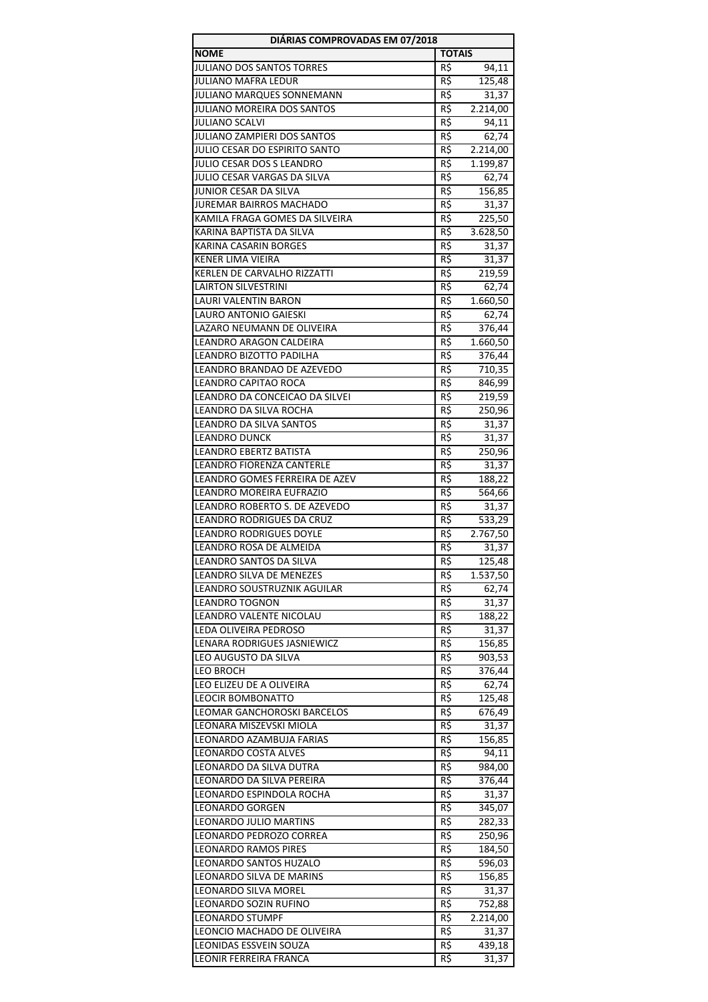| DIÁRIAS COMPROVADAS EM 07/2018                       |                 |                  |
|------------------------------------------------------|-----------------|------------------|
| <b>NOME</b>                                          | <b>TOTAIS</b>   |                  |
| JULIANO DOS SANTOS TORRES                            | R\$             | 94,11            |
| <b>JULIANO MAFRA LEDUR</b>                           | R\$             | 125,48           |
| <b>JULIANO MARQUES SONNEMANN</b>                     | R\$             | 31,37            |
| JULIANO MOREIRA DOS SANTOS                           | R\$             | 2.214,00         |
| <b>JULIANO SCALVI</b>                                | R\$             | 94,11            |
| JULIANO ZAMPIERI DOS SANTOS                          | R\$             | 62,74            |
| JULIO CESAR DO ESPIRITO SANTO                        | R\$             | 2.214,00         |
| JULIO CESAR DOS S LEANDRO                            | R\$             | 1.199,87         |
| JULIO CESAR VARGAS DA SILVA                          | R\$             | 62,74            |
| JUNIOR CESAR DA SILVA                                | R\$             | 156,85           |
| <b>JUREMAR BAIRROS MACHADO</b>                       | R\$             | 31,37            |
| KAMILA FRAGA GOMES DA SILVEIRA                       | R\$             | 225,50           |
| KARINA BAPTISTA DA SILVA<br>KARINA CASARIN BORGES    | R\$<br>R\$      | 3.628,50         |
| <b>KENER LIMA VIEIRA</b>                             | $R\overline{S}$ | 31,37            |
| KERLEN DE CARVALHO RIZZATTI                          | R\$             | 31,37<br>219,59  |
| <b>LAIRTON SILVESTRINI</b>                           | R\$             | 62,74            |
| LAURI VALENTIN BARON                                 | R\$             | 1.660,50         |
| <b>LAURO ANTONIO GAIESKI</b>                         | R\$             | 62,74            |
| LAZARO NEUMANN DE OLIVEIRA                           | R\$             | 376,44           |
| <b>LEANDRO ARAGON CALDEIRA</b>                       | R\$             | 1.660,50         |
| LEANDRO BIZOTTO PADILHA                              | R\$             | 376,44           |
| LEANDRO BRANDAO DE AZEVEDO                           | R\$             | 710,35           |
| LEANDRO CAPITAO ROCA                                 | R\$             | 846,99           |
| LEANDRO DA CONCEICAO DA SILVEI                       | R\$             | 219,59           |
| LEANDRO DA SILVA ROCHA                               | R\$             | 250,96           |
| LEANDRO DA SILVA SANTOS                              | R\$             | 31,37            |
| <b>LEANDRO DUNCK</b>                                 | R\$             | 31,37            |
| LEANDRO EBERTZ BATISTA                               | R\$             | 250,96           |
| LEANDRO FIORENZA CANTERLE                            | R\$             | 31,37            |
| LEANDRO GOMES FERREIRA DE AZEV                       | R\$             | 188,22           |
| LEANDRO MOREIRA EUFRAZIO                             | R\$             | 564,66           |
| LEANDRO ROBERTO S. DE AZEVEDO                        | R\$             | 31,37            |
| LEANDRO RODRIGUES DA CRUZ                            | $R\overline{S}$ | 533,29           |
| <b>LEANDRO RODRIGUES DOYLE</b>                       | R\$             | 2.767,50         |
| LEANDRO ROSA DE ALMEIDA                              | R\$             | 31,37            |
| LEANDRO SANTOS DA SILVA                              | $R\frac{2}{3}$  | 125,48           |
| LEANDRO SILVA DE MENEZES                             | R\$             | 1.537,50         |
| LEANDRO SOUSTRUZNIK AGUILAR                          | R\$             | 62,74            |
| <b>LEANDRO TOGNON</b>                                | R\$             | 31,37            |
| LEANDRO VALENTE NICOLAU                              | R\$             | 188,22           |
| LEDA OLIVEIRA PEDROSO<br>LENARA RODRIGUES JASNIEWICZ | R\$<br>R\$      | 31,37            |
| LEO AUGUSTO DA SILVA                                 | R\$             | 156,85           |
| <b>LEO BROCH</b>                                     | R\$             | 903,53<br>376,44 |
| LEO ELIZEU DE A OLIVEIRA                             | R\$             | 62,74            |
| <b>LEOCIR BOMBONATTO</b>                             | R\$             | 125,48           |
| <b>LEOMAR GANCHOROSKI BARCELOS</b>                   | R\$             | 676,49           |
| LEONARA MISZEVSKI MIOLA                              | R\$             | 31,37            |
| LEONARDO AZAMBUJA FARIAS                             | R\$             | 156,85           |
| LEONARDO COSTA ALVES                                 | R\$             | 94,11            |
| LEONARDO DA SILVA DUTRA                              | R\$             | 984,00           |
| LEONARDO DA SILVA PEREIRA                            | R\$             | 376,44           |
| LEONARDO ESPINDOLA ROCHA                             | R\$             | 31,37            |
| <b>LEONARDO GORGEN</b>                               | R\$             | 345,07           |
| LEONARDO JULIO MARTINS                               | R\$             | 282,33           |
| LEONARDO PEDROZO CORREA                              | R\$             | 250,96           |
| <b>LEONARDO RAMOS PIRES</b>                          | R\$             | 184,50           |
| LEONARDO SANTOS HUZALO                               | R\$             | 596,03           |
| LEONARDO SILVA DE MARINS                             | R\$             | 156,85           |
| LEONARDO SILVA MOREL                                 | R\$             | 31,37            |
| LEONARDO SOZIN RUFINO                                | R\$             | 752,88           |
| <b>LEONARDO STUMPF</b>                               | R\$             | 2.214,00         |
| LEONCIO MACHADO DE OLIVEIRA                          | R\$             | 31,37            |
| LEONIDAS ESSVEIN SOUZA                               | R\$             | 439,18           |
| LEONIR FERREIRA FRANCA                               | R\$             | 31,37            |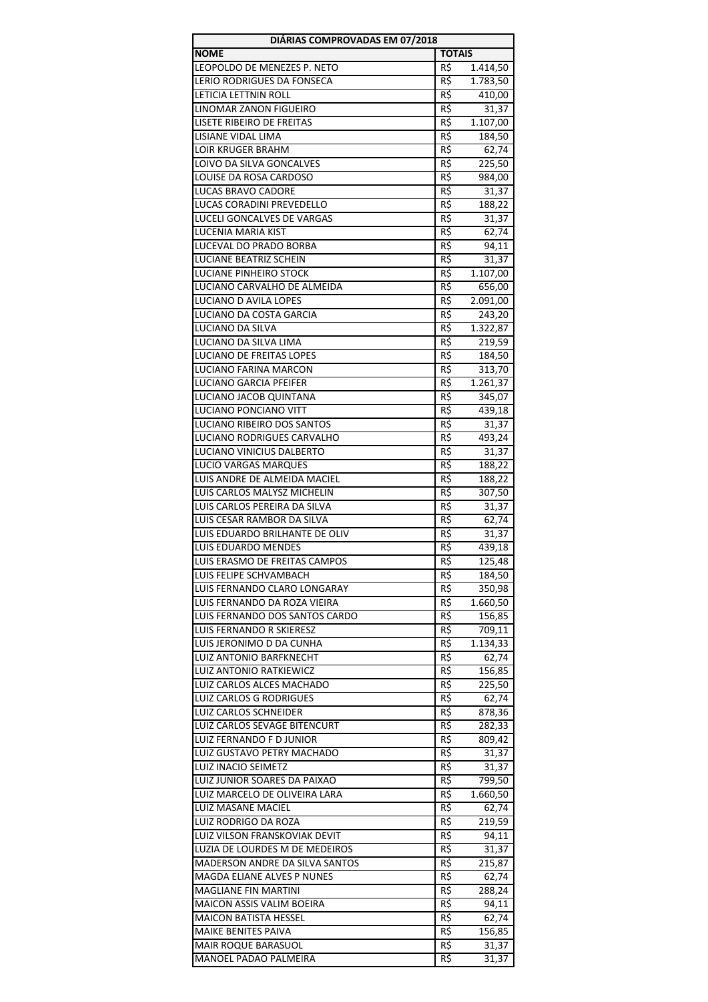| DIÁRIAS COMPROVADAS EM 07/2018                                |                |                    |  |
|---------------------------------------------------------------|----------------|--------------------|--|
| <b>NOME</b>                                                   | <b>TOTAIS</b>  |                    |  |
| LEOPOLDO DE MENEZES P. NETO                                   | R\$            | 1.414,50           |  |
| <b>LERIO RODRIGUES DA FONSECA</b>                             | R\$            | 1.783,50           |  |
| LETICIA LETTNIN ROLL                                          | R\$            | 410,00             |  |
| LINOMAR ZANON FIGUEIRO                                        | R\$            | 31,37              |  |
| LISETE RIBEIRO DE FREITAS                                     | R\$            | 1.107,00           |  |
| LISIANE VIDAL LIMA                                            | R\$            | 184,50             |  |
| <b>LOIR KRUGER BRAHM</b>                                      | R5             | 62,74              |  |
| LOIVO DA SILVA GONCALVES                                      | R\$            | 225,50             |  |
| LOUISE DA ROSA CARDOSO                                        | R\$            | 984,00             |  |
| LUCAS BRAVO CADORE                                            | R\$            | 31,37              |  |
| LUCAS CORADINI PREVEDELLO                                     | R\$            | 188,22             |  |
| LUCELI GONCALVES DE VARGAS                                    | R\$            | 31,37              |  |
| LUCENIA MARIA KIST                                            | R\$            | 62,74              |  |
| LUCEVAL DO PRADO BORBA                                        | R\$            | 94,11              |  |
| LUCIANE BEATRIZ SCHEIN<br>LUCIANE PINHEIRO STOCK              | R\$<br>R\$     | 31,37              |  |
| LUCIANO CARVALHO DE ALMEIDA                                   | R\$            | 1.107,00<br>656,00 |  |
| <b>LUCIANO D AVILA LOPES</b>                                  |                | 2.091,00           |  |
| LUCIANO DA COSTA GARCIA                                       | R\$            |                    |  |
| LUCIANO DA SILVA                                              | R\$<br>R\$     | 243,20<br>1.322,87 |  |
| LUCIANO DA SILVA LIMA                                         | R\$            | 219,59             |  |
| <b>LUCIANO DE FREITAS LOPES</b>                               | R\$            | 184,50             |  |
| LUCIANO FARINA MARCON                                         | R\$            | 313,70             |  |
| <b>LUCIANO GARCIA PFEIFER</b>                                 | R\$            | 1.261,37           |  |
| LUCIANO JACOB QUINTANA                                        | R\$            | 345,07             |  |
| LUCIANO PONCIANO VITT                                         | R\$            | 439,18             |  |
| LUCIANO RIBEIRO DOS SANTOS                                    | R\$            | 31,37              |  |
| LUCIANO RODRIGUES CARVALHO                                    | R\$            | 493,24             |  |
| LUCIANO VINICIUS DALBERTO                                     | R\$            | 31,37              |  |
| LUCIO VARGAS MARQUES                                          | $R\zeta$       | 188,22             |  |
| LUIS ANDRE DE ALMEIDA MACIEL                                  | R\$            | 188,22             |  |
| LUIS CARLOS MALYSZ MICHELIN                                   | R\$            | 307,50             |  |
| LUIS CARLOS PEREIRA DA SILVA                                  | R\$            | 31,37              |  |
| LUIS CESAR RAMBOR DA SILVA                                    | R\$            | 62,74              |  |
| LUIS EDUARDO BRILHANTE DE OLIV                                | R\$            | 31,37              |  |
| <b>LUIS EDUARDO MENDES</b>                                    | R\$            | 439,18             |  |
| LUIS ERASMO DE FREITAS CAMPOS                                 | $R\frac{2}{3}$ | 125,48             |  |
| LUIS FELIPE SCHVAMBACH                                        | R\$            | 184,50             |  |
| LUIS FERNANDO CLARO LONGARAY                                  | R\$            | 350,98             |  |
| LUIS FERNANDO DA ROZA VIEIRA                                  | R\$            | 1.660,50           |  |
| LUIS FERNANDO DOS SANTOS CARDO                                | R\$            | 156,85             |  |
| LUIS FERNANDO R SKIERESZ                                      | R\$            | 709,11             |  |
| LUIS JERONIMO D DA CUNHA                                      | R\$            | 1.134,33           |  |
| LUIZ ANTONIO BARFKNECHT                                       | R\$            | 62,74              |  |
| LUIZ ANTONIO RATKIEWICZ                                       | R\$            | 156,85             |  |
| LUIZ CARLOS ALCES MACHADO                                     | R\$            | 225,50             |  |
| <b>LUIZ CARLOS G RODRIGUES</b>                                | R\$            | 62,74              |  |
| LUIZ CARLOS SCHNEIDER                                         | R\$            | 878,36             |  |
| LUIZ CARLOS SEVAGE BITENCURT                                  | R\$            | 282,33             |  |
| LUIZ FERNANDO F D JUNIOR                                      | R\$            | 809,42             |  |
| LUIZ GUSTAVO PETRY MACHADO                                    | R\$            | 31,37              |  |
| LUIZ INACIO SEIMETZ                                           | R\$            | 31,37              |  |
| LUIZ JUNIOR SOARES DA PAIXAO<br>LUIZ MARCELO DE OLIVEIRA LARA | R\$<br>R\$     | 799,50<br>1.660,50 |  |
| LUIZ MASANE MACIEL                                            | R\$            | 62,74              |  |
| LUIZ RODRIGO DA ROZA                                          | R\$            | 219,59             |  |
| LUIZ VILSON FRANSKOVIAK DEVIT                                 | R\$            | 94,11              |  |
| LUZIA DE LOURDES M DE MEDEIROS                                | R\$            | 31,37              |  |
| MADERSON ANDRE DA SILVA SANTOS                                | R\$            | 215,87             |  |
| MAGDA ELIANE ALVES P NUNES                                    | R\$            | 62,74              |  |
| <b>MAGLIANE FIN MARTINI</b>                                   | R\$            | 288,24             |  |
| MAICON ASSIS VALIM BOEIRA                                     | R\$            | 94,11              |  |
| MAICON BATISTA HESSEL                                         | R\$            | 62,74              |  |
| MAIKE BENITES PAIVA                                           | R\$            | 156,85             |  |
| MAIR ROQUE BARASUOL                                           | R\$            | 31,37              |  |
| MANOEL PADAO PALMEIRA                                         | R\$            | 31,37              |  |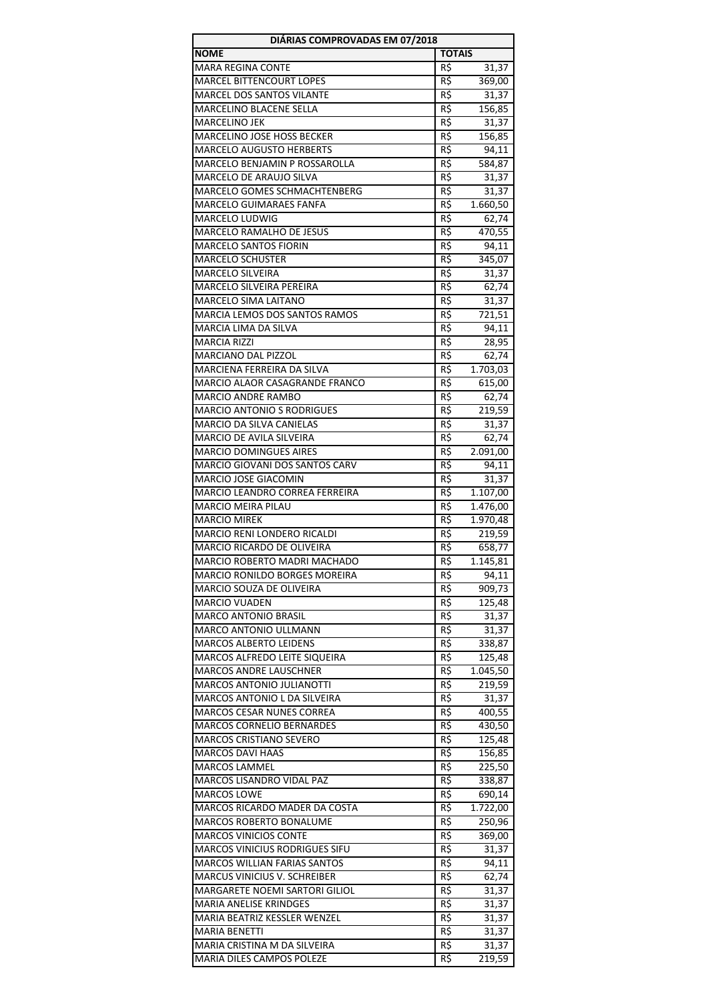| DIÁRIAS COMPROVADAS EM 07/2018                                   |                 |                  |  |
|------------------------------------------------------------------|-----------------|------------------|--|
| <b>NOME</b>                                                      | <b>TOTAIS</b>   |                  |  |
| <b>MARA REGINA CONTE</b>                                         | R\$             | 31,37            |  |
| <b>MARCEL BITTENCOURT LOPES</b>                                  | R\$             | 369,00           |  |
| MARCEL DOS SANTOS VILANTE                                        | R\$             | 31,37            |  |
| <b>MARCELINO BLACENE SELLA</b>                                   | R\$             | 156,85           |  |
| MARCELINO JEK                                                    | R\$             | 31,37            |  |
| MARCELINO JOSE HOSS BECKER                                       | R\$             | 156,85           |  |
| <b>MARCELO AUGUSTO HERBERTS</b>                                  | R\$             | 94,11            |  |
| MARCELO BENJAMIN P ROSSAROLLA                                    | R\$             | 584,87           |  |
| MARCELO DE ARAUJO SILVA                                          | R\$             | 31,37            |  |
| MARCELO GOMES SCHMACHTENBERG                                     | R\$             | 31,37            |  |
| <b>MARCELO GUIMARAES FANFA</b>                                   | R\$             | 1.660,50         |  |
| MARCELO LUDWIG                                                   | R\$             | 62,74            |  |
| MARCELO RAMALHO DE JESUS                                         | R\$             | 470,55           |  |
| <b>MARCELO SANTOS FIORIN</b>                                     | R\$<br>R\$      | 94,11            |  |
| <b>MARCELO SCHUSTER</b><br><b>MARCELO SILVEIRA</b>               | R\$             | 345,07<br>31,37  |  |
| MARCELO SILVEIRA PEREIRA                                         | R\$             | 62,74            |  |
| <b>MARCELO SIMA LAITANO</b>                                      | R\$             | 31,37            |  |
| MARCIA LEMOS DOS SANTOS RAMOS                                    | R\$             | 721,51           |  |
| MARCIA LIMA DA SILVA                                             | R\$             | 94,11            |  |
| <b>MARCIA RIZZI</b>                                              | R\$             | 28,95            |  |
| MARCIANO DAL PIZZOL                                              | R\$             | 62,74            |  |
| MARCIENA FERREIRA DA SILVA                                       | R\$             | 1.703,03         |  |
| MARCIO ALAOR CASAGRANDE FRANCO                                   | R\$             | 615,00           |  |
| MARCIO ANDRE RAMBO                                               | R\$             | 62,74            |  |
| <b>MARCIO ANTONIO S RODRIGUES</b>                                | R\$             | 219,59           |  |
| <b>MARCIO DA SILVA CANIELAS</b>                                  | R\$             | 31,37            |  |
| MARCIO DE AVILA SILVEIRA                                         | R\$             | 62,74            |  |
| <b>MARCIO DOMINGUES AIRES</b>                                    | R\$             | 2.091,00         |  |
| MARCIO GIOVANI DOS SANTOS CARV                                   | R\$             | 94,11            |  |
| MARCIO JOSE GIACOMIN                                             | R\$             | 31,37            |  |
| MARCIO LEANDRO CORREA FERREIRA                                   | R\$             | 1.107,00         |  |
| <b>MARCIO MEIRA PILAU</b>                                        | R\$             | 1.476,00         |  |
| <b>MARCIO MIREK</b>                                              | $R\overline{S}$ | 1.970,48         |  |
| MARCIO RENI LONDERO RICALDI                                      | R\$             | 219,59           |  |
| MARCIO RICARDO DE OLIVEIRA                                       | R\$             | 658,77           |  |
| MARCIO ROBERTO MADRI MACHADO                                     | $R\frac{2}{3}$  | 1.145,81         |  |
| MARCIO RONILDO BORGES MOREIRA                                    | R\$             | 94,11            |  |
| MARCIO SOUZA DE OLIVEIRA                                         | R\$             | 909,73           |  |
| <b>MARCIO VUADEN</b>                                             | R\$             | 125,48           |  |
| <b>MARCO ANTONIO BRASIL</b>                                      | R\$             | 31,37            |  |
| <b>MARCO ANTONIO ULLMANN</b>                                     | R\$             | 31,37            |  |
| <b>MARCOS ALBERTO LEIDENS</b>                                    | R\$             | 338,87           |  |
| <b>MARCOS ALFREDO LEITE SIQUEIRA</b>                             | R\$             | 125,48           |  |
| <b>MARCOS ANDRE LAUSCHNER</b>                                    | R\$             | 1.045,50         |  |
| <b>MARCOS ANTONIO JULIANOTTI</b><br>MARCOS ANTONIO L DA SILVEIRA | R\$             | 219,59           |  |
| MARCOS CESAR NUNES CORREA                                        | R\$<br>R\$      | 31,37            |  |
| <b>MARCOS CORNELIO BERNARDES</b>                                 | R\$             | 400,55<br>430,50 |  |
| <b>MARCOS CRISTIANO SEVERO</b>                                   | R\$             | 125,48           |  |
| MARCOS DAVI HAAS                                                 | R\$             | 156,85           |  |
| <b>MARCOS LAMMEL</b>                                             | R\$             | 225,50           |  |
| MARCOS LISANDRO VIDAL PAZ                                        | R\$             | 338,87           |  |
| <b>MARCOS LOWE</b>                                               | R\$             | 690,14           |  |
| MARCOS RICARDO MADER DA COSTA                                    | R\$             | 1.722,00         |  |
| MARCOS ROBERTO BONALUME                                          | R\$             | 250,96           |  |
| <b>MARCOS VINICIOS CONTE</b>                                     | R\$             | 369,00           |  |
| <b>MARCOS VINICIUS RODRIGUES SIFU</b>                            | R\$             | 31,37            |  |
| <b>MARCOS WILLIAN FARIAS SANTOS</b>                              | R\$             | 94,11            |  |
| MARCUS VINICIUS V. SCHREIBER                                     | R\$             | 62,74            |  |
| MARGARETE NOEMI SARTORI GILIOL                                   | R\$             | 31,37            |  |
| <b>MARIA ANELISE KRINDGES</b>                                    | R\$             | 31,37            |  |
| MARIA BEATRIZ KESSLER WENZEL                                     | R\$             | 31,37            |  |
| MARIA BENETTI                                                    | R\$             | 31,37            |  |
| MARIA CRISTINA M DA SILVEIRA                                     | R\$             | 31,37            |  |
| <b>MARIA DILES CAMPOS POLEZE</b>                                 | R\$             | 219,59           |  |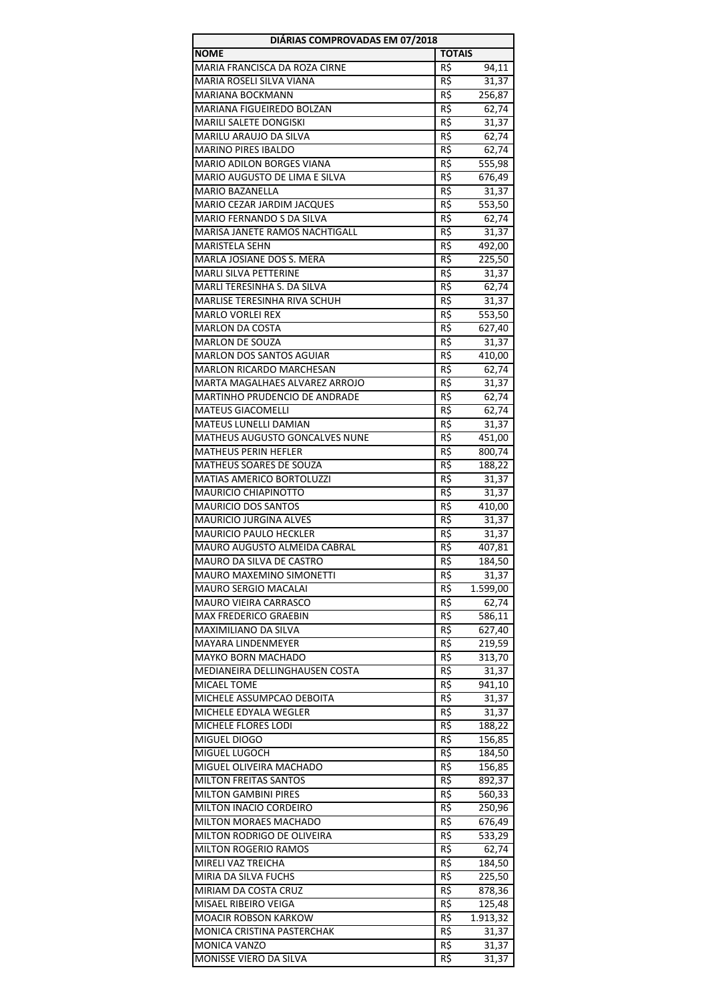| DIÁRIAS COMPROVADAS EM 07/2018                          |               |                   |
|---------------------------------------------------------|---------------|-------------------|
| <b>NOME</b>                                             | <b>TOTAIS</b> |                   |
| MARIA FRANCISCA DA ROZA CIRNE                           | R\$           | 94,11             |
| MARIA ROSELI SILVA VIANA                                | R\$           | 31,37             |
| <b>MARIANA BOCKMANN</b>                                 | R\$           | 256,87            |
| MARIANA FIGUEIREDO BOLZAN                               | R\$           | 62,74             |
| MARILI SALETE DONGISKI                                  | R\$           | 31,37             |
| MARILU ARAUJO DA SILVA                                  | R\$           | 62,74             |
| <b>MARINO PIRES IBALDO</b>                              | R\$           | 62,74             |
| MARIO ADILON BORGES VIANA                               | R\$           | 555,98            |
| MARIO AUGUSTO DE LIMA E SILVA                           | R\$           | 676,49            |
| <b>MARIO BAZANELLA</b>                                  | R\$           | 31,37             |
| MARIO CEZAR JARDIM JACQUES<br>MARIO FERNANDO S DA SILVA | R\$           | 553,50            |
| MARISA JANETE RAMOS NACHTIGALL                          | R\$<br>R\$    | 62,74<br>31,37    |
| <b>MARISTELA SEHN</b>                                   | R\$           | 492,00            |
| <b>MARLA JOSIANE DOS S. MERA</b>                        | R\$           | 225,50            |
| <b>MARLI SILVA PETTERINE</b>                            | R\$           | 31,37             |
| MARLI TERESINHA S. DA SILVA                             | R\$           | 62,74             |
| MARLISE TERESINHA RIVA SCHUH                            | $R\zeta$      | 31,37             |
| <b>MARLO VORLEI REX</b>                                 | R\$           | 553,50            |
| <b>MARLON DA COSTA</b>                                  | R\$           | 627,40            |
| <b>MARLON DE SOUZA</b>                                  | R\$           | 31,37             |
| <b>MARLON DOS SANTOS AGUIAR</b>                         | R\$           | 410,00            |
| MARLON RICARDO MARCHESAN                                | R\$           | 62,74             |
| MARTA MAGALHAES ALVAREZ ARROJO                          | R\$           | 31,37             |
| MARTINHO PRUDENCIO DE ANDRADE                           | R\$           | 62,74             |
| <b>MATEUS GIACOMELLI</b>                                | R\$           | 62,74             |
| MATEUS LUNELLI DAMIAN                                   | R\$           | 31,37             |
| MATHEUS AUGUSTO GONCALVES NUNE                          | R\$           | 451,00            |
| <b>MATHEUS PERIN HEFLER</b>                             | R\$           | 800,74            |
| MATHEUS SOARES DE SOUZA                                 | R\$           | 188,22            |
| MATIAS AMERICO BORTOLUZZI                               | R\$           | 31,37             |
| MAURICIO CHIAPINOTTO                                    | R\$           | 31,37             |
| <b>MAURICIO DOS SANTOS</b>                              | R\$           | 410,00            |
| MAURICIO JURGINA ALVES                                  | R\$           | 31,37             |
| <b>MAURICIO PAULO HECKLER</b>                           | R\$           | 31,37             |
| MAURO AUGUSTO ALMEIDA CABRAL                            | R\$           | 407,81            |
| MAURO DA SILVA DE CASTRO                                | R\$           | 184,50            |
| MAURO MAXEMINO SIMONETTI<br><b>MAURO SERGIO MACALAI</b> | R\$<br>R\$    | 31,37<br>1.599,00 |
| MAURO VIEIRA CARRASCO                                   | R\$           | 62,74             |
| MAX FREDERICO GRAEBIN                                   | R\$           | 586,11            |
| <b>MAXIMILIANO DA SILVA</b>                             | R\$           | 627,40            |
| <b>MAYARA LINDENMEYER</b>                               | R\$           | 219,59            |
| <b>MAYKO BORN MACHADO</b>                               | R\$           | 313,70            |
| MEDIANEIRA DELLINGHAUSEN COSTA                          | R\$           | 31,37             |
| <b>MICAEL TOME</b>                                      | $R\zeta$      | 941,10            |
| MICHELE ASSUMPCAO DEBOITA                               | R\$           | 31,37             |
| MICHELE EDYALA WEGLER                                   | R\$           | 31,37             |
| MICHELE FLORES LODI                                     | R\$           | 188,22            |
| MIGUEL DIOGO                                            | R\$           | 156,85            |
| MIGUEL LUGOCH                                           | R\$           | 184,50            |
| MIGUEL OLIVEIRA MACHADO                                 | R\$           | 156,85            |
| <b>MILTON FREITAS SANTOS</b>                            | R\$           | 892,37            |
| <b>MILTON GAMBINI PIRES</b>                             | R\$           | 560,33            |
| MILTON INACIO CORDEIRO                                  | R\$           | 250,96            |
| MILTON MORAES MACHADO                                   | R\$           | 676,49            |
| MILTON RODRIGO DE OLIVEIRA                              | R\$           | 533,29            |
| MILTON ROGERIO RAMOS                                    | R\$           | 62,74             |
| MIRELI VAZ TREICHA                                      | R\$           | 184,50            |
| MIRIA DA SILVA FUCHS                                    | R\$           | 225,50            |
| MIRIAM DA COSTA CRUZ<br>MISAEL RIBEIRO VEIGA            | R\$           | 878,36            |
| <b>MOACIR ROBSON KARKOW</b>                             | R\$<br>R\$    | 125,48            |
| MONICA CRISTINA PASTERCHAK                              | R\$           | 1.913,32<br>31,37 |
| <b>MONICA VANZO</b>                                     | R\$           | 31,37             |
| MONISSE VIERO DA SILVA                                  | R\$           | 31,37             |
|                                                         |               |                   |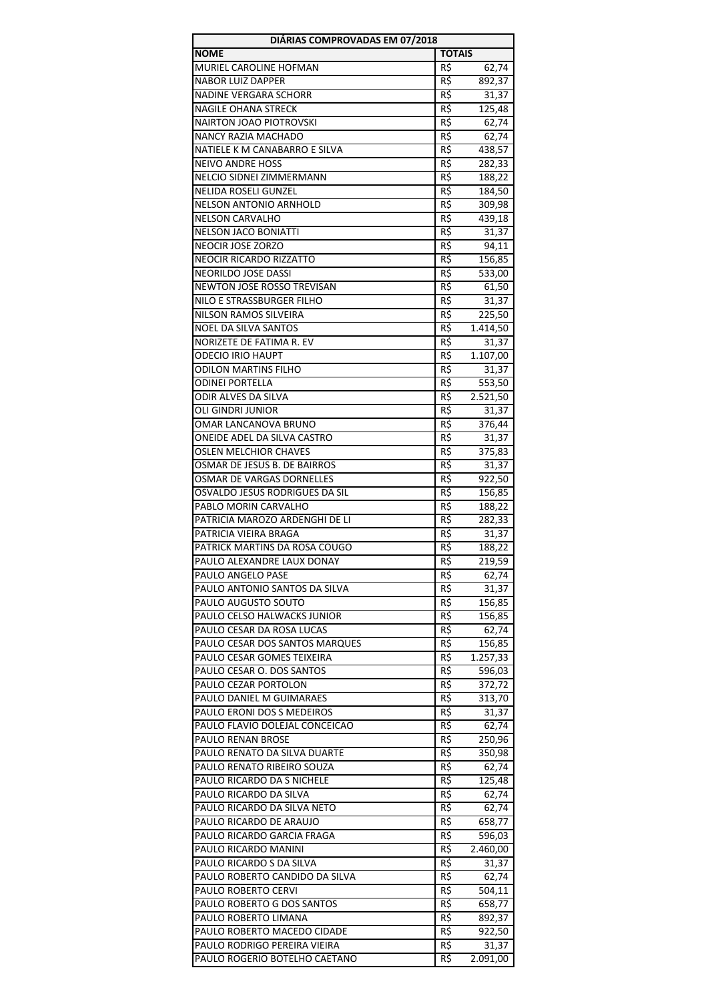| DIÁRIAS COMPROVADAS EM 07/2018                               |                |                  |  |
|--------------------------------------------------------------|----------------|------------------|--|
| <b>NOME</b>                                                  | <b>TOTAIS</b>  |                  |  |
| MURIEL CAROLINE HOFMAN                                       | R\$            | 62,74            |  |
| <b>NABOR LUIZ DAPPER</b>                                     | R\$            | 892,37           |  |
| NADINE VERGARA SCHORR                                        | R\$            | 31,37            |  |
| <b>NAGILE OHANA STRECK</b>                                   | R\$            | 125,48           |  |
| NAIRTON JOAO PIOTROVSKI                                      | R\$            | 62,74            |  |
| NANCY RAZIA MACHADO                                          | R\$            | 62,74            |  |
| NATIELE K M CANABARRO E SILVA                                | R\$            | 438,57           |  |
| <b>NEIVO ANDRE HOSS</b>                                      | R\$            | 282,33           |  |
| NELCIO SIDNEI ZIMMERMANN                                     | R\$            | 188,22           |  |
| <b>NELIDA ROSELI GUNZEL</b>                                  | R\$            | 184,50           |  |
| NELSON ANTONIO ARNHOLD                                       | R\$            | 309,98           |  |
| <b>NELSON CARVALHO</b>                                       | R\$            | 439,18           |  |
| <b>NELSON JACO BONIATTI</b>                                  | R\$            | 31,37            |  |
| NEOCIR JOSE ZORZO<br><b>NEOCIR RICARDO RIZZATTO</b>          | R\$            | 94,11            |  |
| NEORILDO JOSE DASSI                                          | R\$<br>R\$     | 156,85<br>533,00 |  |
| NEWTON JOSE ROSSO TREVISAN                                   | R\$            | 61,50            |  |
| NILO E STRASSBURGER FILHO                                    | R\$            | 31,37            |  |
| NILSON RAMOS SILVEIRA                                        | R\$            | 225,50           |  |
| <b>NOEL DA SILVA SANTOS</b>                                  | R\$            | 1.414,50         |  |
| NORIZETE DE FATIMA R. EV                                     | R\$            | 31,37            |  |
| <b>ODECIO IRIO HAUPT</b>                                     | R\$            | 1.107,00         |  |
| <b>ODILON MARTINS FILHO</b>                                  | R\$            | 31,37            |  |
| <b>ODINEI PORTELLA</b>                                       | R\$            | 553,50           |  |
| ODIR ALVES DA SILVA                                          | R\$            | 2.521,50         |  |
| OLI GINDRI JUNIOR                                            | R\$            | 31,37            |  |
| OMAR LANCANOVA BRUNO                                         | R\$            | 376,44           |  |
| ONEIDE ADEL DA SILVA CASTRO                                  | R\$            | 31,37            |  |
| <b>OSLEN MELCHIOR CHAVES</b>                                 | R\$            | 375,83           |  |
| OSMAR DE JESUS B. DE BAIRROS                                 | R\$            | 31,37            |  |
| OSMAR DE VARGAS DORNELLES                                    | R\$            | 922,50           |  |
| OSVALDO JESUS RODRIGUES DA SIL                               | R\$            | 156,85           |  |
| PABLO MORIN CARVALHO                                         | R\$            | 188,22           |  |
| PATRICIA MAROZO ARDENGHI DE LI                               | R\$            | 282,33           |  |
| PATRICIA VIEIRA BRAGA                                        | R\$            | 31,37            |  |
| PATRICK MARTINS DA ROSA COUGO                                | R\$            | 188,22           |  |
| PAULO ALEXANDRE LAUX DONAY                                   | $R\frac{2}{3}$ | 219,59           |  |
| PAULO ANGELO PASE                                            | R\$            | 62,74            |  |
| PAULO ANTONIO SANTOS DA SILVA                                | R\$            | 31,37            |  |
| PAULO AUGUSTO SOUTO                                          | R\$            | 156,85           |  |
| PAULO CELSO HALWACKS JUNIOR                                  | R\$            | 156,85           |  |
| PAULO CESAR DA ROSA LUCAS                                    | R\$            | 62,74            |  |
| PAULO CESAR DOS SANTOS MARQUES                               | R\$            | 156,85           |  |
| PAULO CESAR GOMES TEIXEIRA                                   | R\$            | 1.257,33         |  |
| PAULO CESAR O. DOS SANTOS                                    | R\$            | 596,03           |  |
| PAULO CEZAR PORTOLON                                         | R\$            | 372,72           |  |
| PAULO DANIEL M GUIMARAES                                     | R\$            | 313,70           |  |
| PAULO ERONI DOS S MEDEIROS<br>PAULO FLAVIO DOLEJAL CONCEICAO | R\$<br>R\$     | 31,37<br>62,74   |  |
|                                                              |                |                  |  |
| PAULO RENAN BROSE<br>PAULO RENATO DA SILVA DUARTE            | R\$<br>R\$     | 250,96<br>350,98 |  |
| PAULO RENATO RIBEIRO SOUZA                                   | R\$            | 62,74            |  |
| PAULO RICARDO DA S NICHELE                                   | R\$            | 125,48           |  |
| PAULO RICARDO DA SILVA                                       | R\$            | 62,74            |  |
| PAULO RICARDO DA SILVA NETO                                  | R\$            | 62,74            |  |
| PAULO RICARDO DE ARAUJO                                      | R\$            | 658,77           |  |
| PAULO RICARDO GARCIA FRAGA                                   | R\$            | 596,03           |  |
| PAULO RICARDO MANINI                                         | R\$            | 2.460,00         |  |
| PAULO RICARDO S DA SILVA                                     | R\$            | 31,37            |  |
| PAULO ROBERTO CANDIDO DA SILVA                               | R\$            | 62,74            |  |
| PAULO ROBERTO CERVI                                          | R\$            | 504,11           |  |
| PAULO ROBERTO G DOS SANTOS                                   | R\$            | 658,77           |  |
| PAULO ROBERTO LIMANA                                         | R\$            | 892,37           |  |
| PAULO ROBERTO MACEDO CIDADE                                  | R\$            | 922,50           |  |
| PAULO RODRIGO PEREIRA VIEIRA                                 | R\$            | 31,37            |  |
| PAULO ROGERIO BOTELHO CAETANO                                | R\$            | 2.091,00         |  |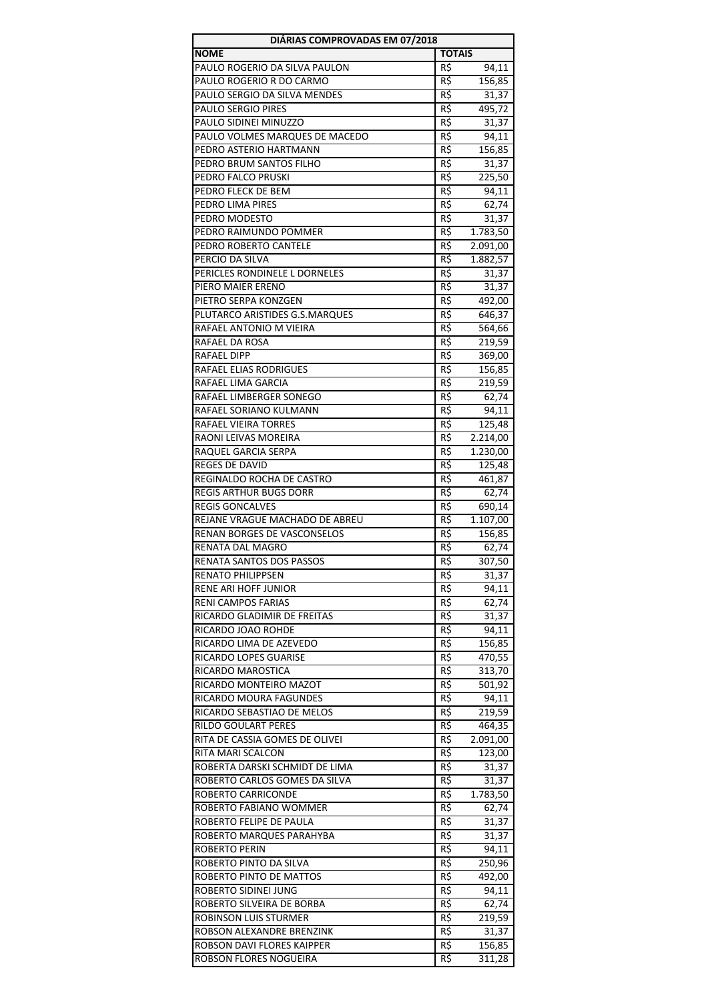| DIÁRIAS COMPROVADAS EM 07/2018 |               |          |
|--------------------------------|---------------|----------|
| <b>NOME</b>                    | <b>TOTAIS</b> |          |
| PAULO ROGERIO DA SILVA PAULON  | R\$           | 94,11    |
| PAULO ROGERIO R DO CARMO       | R\$           | 156,85   |
| PAULO SERGIO DA SILVA MENDES   | R\$           | 31,37    |
| PAULO SERGIO PIRES             | R\$           | 495,72   |
| PAULO SIDINEI MINUZZO          | R\$           | 31,37    |
| PAULO VOLMES MARQUES DE MACEDO | R\$           | 94,11    |
| PEDRO ASTERIO HARTMANN         | R\$           | 156,85   |
| PEDRO BRUM SANTOS FILHO        | R\$           | 31,37    |
| PEDRO FALCO PRUSKI             | R\$           | 225,50   |
| PEDRO FLECK DE BEM             | R\$           | 94,11    |
| PEDRO LIMA PIRES               | R\$           | 62,74    |
| PEDRO MODESTO                  | R\$           | 31,37    |
| PEDRO RAIMUNDO POMMER          | R\$           | 1.783,50 |
| PEDRO ROBERTO CANTELE          | R\$           | 2.091,00 |
| PERCIO DA SILVA                | R\$           | 1.882,57 |
| PERICLES RONDINELE L DORNELES  | R\$           | 31,37    |
| PIERO MAIER ERENO              | R\$           | 31,37    |
| PIETRO SERPA KONZGEN           | R\$           | 492,00   |
| PLUTARCO ARISTIDES G.S.MARQUES | R\$           | 646,37   |
| RAFAEL ANTONIO M VIEIRA        | R\$           | 564,66   |
| RAFAEL DA ROSA                 | R\$           | 219,59   |
| RAFAEL DIPP                    | R\$           | 369,00   |
| RAFAEL ELIAS RODRIGUES         | R\$           | 156,85   |
| RAFAEL LIMA GARCIA             | R\$           | 219,59   |
| RAFAEL LIMBERGER SONEGO        | R\$           | 62,74    |
| RAFAEL SORIANO KULMANN         | R\$           | 94,11    |
| RAFAEL VIEIRA TORRES           | R\$           | 125,48   |
| RAONI LEIVAS MOREIRA           | R\$           | 2.214,00 |
| RAQUEL GARCIA SERPA            | R\$           | 1.230,00 |
| REGES DE DAVID                 | R\$           | 125,48   |
| REGINALDO ROCHA DE CASTRO      | $R\zeta$      | 461,87   |
| <b>REGIS ARTHUR BUGS DORR</b>  | R\$           | 62,74    |
| <b>REGIS GONCALVES</b>         | R\$           | 690,14   |
| REJANE VRAGUE MACHADO DE ABREU | R\$           | 1.107,00 |
| RENAN BORGES DE VASCONSELOS    | R\$           | 156,85   |
| RENATA DAL MAGRO               | R\$           | 62,74    |
| RENATA SANTOS DOS PASSOS       | R\$           | 307,50   |
| <b>RENATO PHILIPPSEN</b>       | R\$           | 31,37    |
| RENE ARI HOFF JUNIOR           | R\$           | 94,11    |
| <b>RENI CAMPOS FARIAS</b>      | R\$           | 62,74    |
| RICARDO GLADIMIR DE FREITAS    | R\$           | 31,37    |
| RICARDO JOAO ROHDE             | R\$           | 94,11    |
| RICARDO LIMA DE AZEVEDO        | R\$           | 156,85   |
| RICARDO LOPES GUARISE          | R\$           | 470,55   |
| RICARDO MAROSTICA              | R\$           | 313,70   |
| RICARDO MONTEIRO MAZOT         | R\$           | 501,92   |
| RICARDO MOURA FAGUNDES         | R\$           | 94,11    |
| RICARDO SEBASTIAO DE MELOS     | R\$           | 219,59   |
| RILDO GOULART PERES            | R\$           | 464,35   |
| RITA DE CASSIA GOMES DE OLIVEI | R\$           | 2.091,00 |
| RITA MARI SCALCON              | R\$           | 123,00   |
| ROBERTA DARSKI SCHMIDT DE LIMA | R\$           | 31,37    |
| ROBERTO CARLOS GOMES DA SILVA  | R\$           | 31,37    |
| ROBERTO CARRICONDE             | R\$           | 1.783,50 |
| ROBERTO FABIANO WOMMER         | R\$           | 62,74    |
| ROBERTO FELIPE DE PAULA        | R\$           | 31,37    |
| ROBERTO MARQUES PARAHYBA       | R\$           | 31,37    |
| <b>ROBERTO PERIN</b>           | R\$           | 94,11    |
| ROBERTO PINTO DA SILVA         | R\$           | 250,96   |
| ROBERTO PINTO DE MATTOS        | R\$           | 492,00   |
| ROBERTO SIDINEI JUNG           | R\$           | 94,11    |
| ROBERTO SILVEIRA DE BORBA      | R\$           | 62,74    |
| ROBINSON LUIS STURMER          | R\$           | 219,59   |
| ROBSON ALEXANDRE BRENZINK      | R\$           | 31,37    |
| ROBSON DAVI FLORES KAIPPER     | R\$           | 156,85   |
| ROBSON FLORES NOGUEIRA         | R\$           | 311,28   |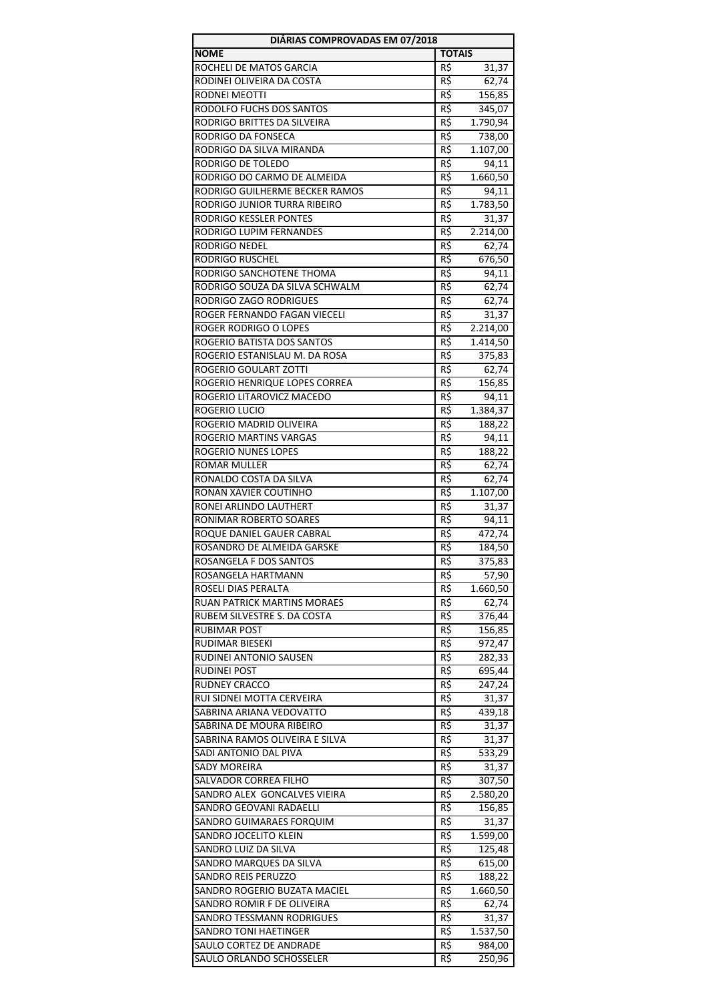| DIÁRIAS COMPROVADAS EM 07/2018     |                 |          |  |
|------------------------------------|-----------------|----------|--|
| <b>NOME</b>                        | <b>TOTAIS</b>   |          |  |
| ROCHELI DE MATOS GARCIA            | R\$             | 31,37    |  |
| RODINEI OLIVEIRA DA COSTA          | R\$             | 62,74    |  |
| RODNEI MEOTTI                      | R\$             | 156,85   |  |
| RODOLFO FUCHS DOS SANTOS           | R\$             | 345,07   |  |
| RODRIGO BRITTES DA SILVEIRA        | R\$             | 1.790,94 |  |
| <b>RODRIGO DA FONSECA</b>          | R\$             | 738,00   |  |
| RODRIGO DA SILVA MIRANDA           | R\$             | 1.107,00 |  |
| RODRIGO DE TOLEDO                  | R\$             | 94,11    |  |
| RODRIGO DO CARMO DE ALMEIDA        | R\$             | 1.660,50 |  |
| RODRIGO GUILHERME BECKER RAMOS     | R\$             | 94,11    |  |
| RODRIGO JUNIOR TURRA RIBEIRO       | R\$             | 1.783,50 |  |
| RODRIGO KESSLER PONTES             | R\$             | 31,37    |  |
| RODRIGO LUPIM FERNANDES            | R\$             | 2.214,00 |  |
| RODRIGO NEDEL                      | R\$             | 62,74    |  |
| <b>RODRIGO RUSCHEL</b>             | R\$             | 676,50   |  |
| RODRIGO SANCHOTENE THOMA           | R\$             | 94,11    |  |
| RODRIGO SOUZA DA SILVA SCHWALM     | R\$             | 62,74    |  |
| RODRIGO ZAGO RODRIGUES             | R\$             | 62,74    |  |
| ROGER FERNANDO FAGAN VIECELI       | R\$             | 31,37    |  |
| <b>ROGER RODRIGO O LOPES</b>       | R\$             | 2.214,00 |  |
| ROGERIO BATISTA DOS SANTOS         | R\$             | 1.414,50 |  |
| ROGERIO ESTANISLAU M. DA ROSA      | R\$             | 375,83   |  |
| ROGERIO GOULART ZOTTI              | R\$             | 62,74    |  |
| ROGERIO HENRIQUE LOPES CORREA      | R\$             | 156,85   |  |
| ROGERIO LITAROVICZ MACEDO          | R\$             | 94,11    |  |
| ROGERIO LUCIO                      | R\$             | 1.384,37 |  |
| ROGERIO MADRID OLIVEIRA            | R\$             | 188,22   |  |
| ROGERIO MARTINS VARGAS             | R\$             | 94,11    |  |
| ROGERIO NUNES LOPES                | R\$             | 188,22   |  |
| <b>ROMAR MULLER</b>                | R\$             | 62,74    |  |
| RONALDO COSTA DA SILVA             | $R\overline{S}$ | 62,74    |  |
| RONAN XAVIER COUTINHO              | R\$             | 1.107,00 |  |
| RONEI ARLINDO LAUTHERT             | R\$             | 31,37    |  |
| RONIMAR ROBERTO SOARES             | R\$             | 94,11    |  |
| ROQUE DANIEL GAUER CABRAL          | R\$             | 472,74   |  |
| ROSANDRO DE ALMEIDA GARSKE         | R\$             | 184,50   |  |
| ROSANGELA F DOS SANTOS             | R\$             | 375,83   |  |
| ROSANGELA HARTMANN                 | R\$             | 57,90    |  |
| ROSELI DIAS PERALTA                | R\$             | 1.660,50 |  |
| <b>RUAN PATRICK MARTINS MORAES</b> | R\$             | 62,74    |  |
| RUBEM SILVESTRE S. DA COSTA        | R\$             | 376,44   |  |
| <b>RUBIMAR POST</b>                | R\$             | 156,85   |  |
| RUDIMAR BIESEKI                    | R\$             | 972,47   |  |
| RUDINEI ANTONIO SAUSEN             | R\$             | 282,33   |  |
| <b>RUDINEI POST</b>                | R\$             | 695,44   |  |
| <b>RUDNEY CRACCO</b>               | R\$             | 247,24   |  |
| RUI SIDNEI MOTTA CERVEIRA          | R\$             | 31,37    |  |
| SABRINA ARIANA VEDOVATTO           | R\$             | 439,18   |  |
| SABRINA DE MOURA RIBEIRO           | R\$             | 31,37    |  |
| SABRINA RAMOS OLIVEIRA E SILVA     | R\$             | 31,37    |  |
| SADI ANTONIO DAL PIVA              | R\$             | 533,29   |  |
| <b>SADY MOREIRA</b>                | R\$             | 31,37    |  |
| SALVADOR CORREA FILHO              | R\$             | 307,50   |  |
| SANDRO ALEX GONCALVES VIEIRA       | R\$             | 2.580,20 |  |
| SANDRO GEOVANI RADAELLI            | R\$             | 156,85   |  |
| <b>SANDRO GUIMARAES FORQUIM</b>    | R\$             | 31,37    |  |
| SANDRO JOCELITO KLEIN              | R\$             | 1.599,00 |  |
| SANDRO LUIZ DA SILVA               | R\$             | 125,48   |  |
| SANDRO MARQUES DA SILVA            | R\$             | 615,00   |  |
| SANDRO REIS PERUZZO                | R\$             | 188,22   |  |
| SANDRO ROGERIO BUZATA MACIEL       | R\$             | 1.660,50 |  |
| SANDRO ROMIR F DE OLIVEIRA         | R\$             | 62,74    |  |
| SANDRO TESSMANN RODRIGUES          | R\$             | 31,37    |  |
| SANDRO TONI HAETINGER              | R\$             | 1.537,50 |  |
| SAULO CORTEZ DE ANDRADE            | R\$             | 984,00   |  |
| SAULO ORLANDO SCHOSSELER           | R\$             | 250,96   |  |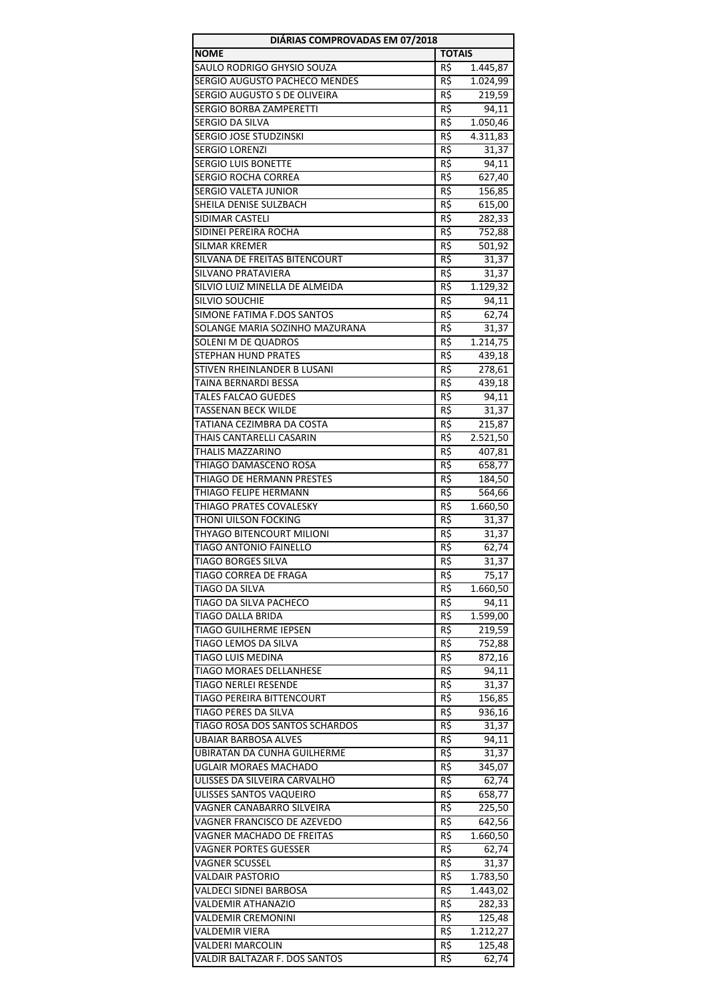| DIÁRIAS COMPROVADAS EM 07/2018                             |                 |                   |  |
|------------------------------------------------------------|-----------------|-------------------|--|
| <b>NOME</b>                                                | <b>TOTAIS</b>   |                   |  |
| SAULO RODRIGO GHYSIO SOUZA                                 | R\$             | 1.445,87          |  |
| SERGIO AUGUSTO PACHECO MENDES                              | R\$             | 1.024,99          |  |
| SERGIO AUGUSTO S DE OLIVEIRA                               | R\$             | 219,59            |  |
| SERGIO BORBA ZAMPERETTI                                    | $R\zeta$        | 94,11             |  |
| SERGIO DA SILVA                                            | R\$             | 1.050,46          |  |
| SERGIO JOSE STUDZINSKI                                     | R\$             | 4.311,83          |  |
| SERGIO LORENZI                                             | R\$             | 31,37             |  |
| <b>SERGIO LUIS BONETTE</b>                                 | $R\overline{5}$ | 94,11             |  |
| SERGIO ROCHA CORREA                                        | R\$             | 627,40            |  |
| <b>SERGIO VALETA JUNIOR</b>                                | R\$             | 156,85            |  |
| SHEILA DENISE SULZBACH                                     | R\$             | 615,00            |  |
| SIDIMAR CASTELI                                            | R\$             | 282,33            |  |
| SIDINEI PEREIRA ROCHA                                      | R\$             | 752,88            |  |
| SILMAR KREMER                                              | R\$             | 501,92            |  |
| SILVANA DE FREITAS BITENCOURT<br><b>SILVANO PRATAVIERA</b> | R\$<br>R\$      | 31,37             |  |
| SILVIO LUIZ MINELLA DE ALMEIDA                             |                 | 31,37<br>1.129,32 |  |
| <b>SILVIO SOUCHIE</b>                                      | R\$<br>R\$      |                   |  |
| SIMONE FATIMA F.DOS SANTOS                                 | $R\overline{S}$ | 94,11             |  |
| SOLANGE MARIA SOZINHO MAZURANA                             | R\$             | 62,74<br>31,37    |  |
| SOLENI M DE QUADROS                                        | R\$             | 1.214,75          |  |
| <b>STEPHAN HUND PRATES</b>                                 | R\$             | 439,18            |  |
| STIVEN RHEINLANDER B LUSANI                                | R\$             | 278,61            |  |
| TAINA BERNARDI BESSA                                       | R\$             | 439,18            |  |
| <b>TALES FALCAO GUEDES</b>                                 | R\$             | 94,11             |  |
| TASSENAN BECK WILDE                                        | R\$             | 31,37             |  |
| TATIANA CEZIMBRA DA COSTA                                  | R\$             | 215,87            |  |
| THAIS CANTARELLI CASARIN                                   | R\$             | 2.521,50          |  |
| THALIS MAZZARINO                                           | $R\zeta$        | 407,81            |  |
| THIAGO DAMASCENO ROSA                                      | R\$             | 658,77            |  |
| THIAGO DE HERMANN PRESTES                                  | R\$             | 184,50            |  |
| THIAGO FELIPE HERMANN                                      | R\$             | 564,66            |  |
| THIAGO PRATES COVALESKY                                    | R\$             | 1.660,50          |  |
| THONI UILSON FOCKING                                       | R\$             | 31,37             |  |
| THYAGO BITENCOURT MILIONI                                  | R\$             | 31,37             |  |
| <b>TIAGO ANTONIO FAINELLO</b>                              | R\$             | 62,74             |  |
| TIAGO BORGES SILVA                                         | $R\frac{2}{3}$  | 31,37             |  |
| TIAGO CORREA DE FRAGA                                      | R\$             | 75,17             |  |
| TIAGO DA SILVA                                             | R\$             | 1.660,50          |  |
| <b>TIAGO DA SILVA PACHECO</b>                              | R\$             | 94,11             |  |
| <b>TIAGO DALLA BRIDA</b>                                   | R\$             | 1.599,00          |  |
| TIAGO GUILHERME IEPSEN                                     | R\$             | 219,59            |  |
| TIAGO LEMOS DA SILVA<br><b>TIAGO LUIS MEDINA</b>           | R\$             | 752,88            |  |
| TIAGO MORAES DELLANHESE                                    | R\$             | 872,16            |  |
| <b>TIAGO NERLEI RESENDE</b>                                | R\$             | 94,11             |  |
| TIAGO PEREIRA BITTENCOURT                                  | R\$<br>R\$      | 31,37<br>156,85   |  |
| TIAGO PERES DA SILVA                                       | R\$             | 936,16            |  |
| TIAGO ROSA DOS SANTOS SCHARDOS                             | R\$             | 31,37             |  |
| UBAIAR BARBOSA ALVES                                       | R\$             | 94,11             |  |
| UBIRATAN DA CUNHA GUILHERME                                | R\$             | 31,37             |  |
| UGLAIR MORAES MACHADO                                      | R\$             | 345,07            |  |
| ULISSES DA SILVEIRA CARVALHO                               | R\$             | 62,74             |  |
| ULISSES SANTOS VAQUEIRO                                    | R\$             | 658,77            |  |
| VAGNER CANABARRO SILVEIRA                                  | R\$             | 225,50            |  |
| VAGNER FRANCISCO DE AZEVEDO                                | R\$             | 642,56            |  |
| VAGNER MACHADO DE FREITAS                                  | R\$             | 1.660,50          |  |
| <b>VAGNER PORTES GUESSER</b>                               | R\$             | 62,74             |  |
| VAGNER SCUSSEL                                             | R\$             | 31,37             |  |
| <b>VALDAIR PASTORIO</b>                                    | R\$             | 1.783,50          |  |
| VALDECI SIDNEI BARBOSA                                     | R\$             | 1.443,02          |  |
| VALDEMIR ATHANAZIO                                         | R\$             | 282,33            |  |
| VALDEMIR CREMONINI                                         | R\$             | 125,48            |  |
| VALDEMIR VIERA                                             | R\$             | 1.212,27          |  |
| VALDERI MARCOLIN                                           | R\$             | 125,48            |  |
| VALDIR BALTAZAR F. DOS SANTOS                              | R\$             | 62,74             |  |